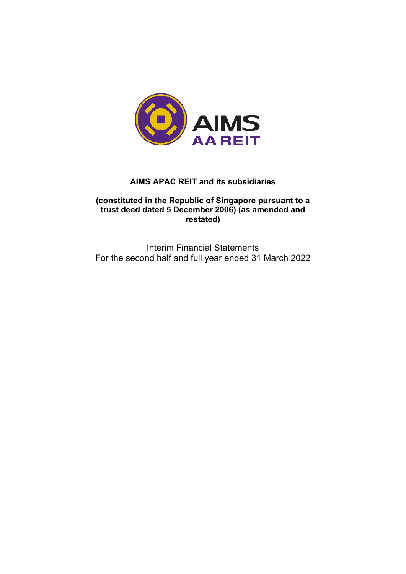

# **AIMS APAC REIT and its subsidiaries**

# **(constituted in the Republic of Singapore pursuant to a trust deed dated 5 December 2006) (as amended and restated)**

Interim Financial Statements For the second half and full year ended 31 March 2022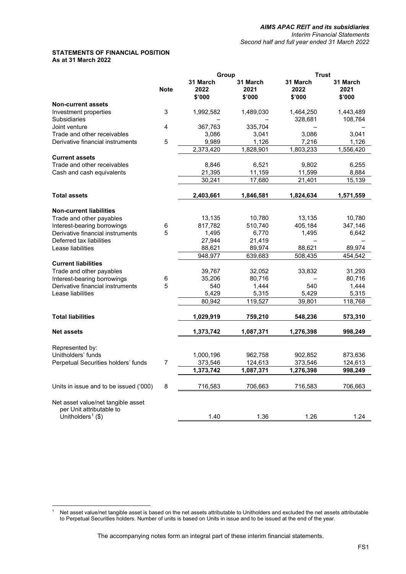## **STATEMENTS OF FINANCIAL POSITION As at 31 March 2022**

|                                        |             | Group                      |                            |                            | <b>Trust</b>               |  |
|----------------------------------------|-------------|----------------------------|----------------------------|----------------------------|----------------------------|--|
|                                        | <b>Note</b> | 31 March<br>2022<br>\$'000 | 31 March<br>2021<br>\$'000 | 31 March<br>2022<br>\$'000 | 31 March<br>2021<br>\$'000 |  |
| <b>Non-current assets</b>              |             |                            |                            |                            |                            |  |
| Investment properties                  | 3           | 1,992,582                  | 1,489,030                  | 1,464,250                  | 1,443,489                  |  |
| <b>Subsidiaries</b>                    |             |                            |                            | 328,681                    | 108,764                    |  |
| Joint venture                          | 4           | 367,763                    | 335,704                    |                            |                            |  |
| Trade and other receivables            |             | 3,086                      | 3,041                      | 3,086                      | 3,041                      |  |
| Derivative financial instruments       | 5           | 9,989                      | 1,126                      | 7,216                      | 1,126                      |  |
|                                        |             | 2,373,420                  | 1,828,901                  | 1,803,233                  | 1,556,420                  |  |
| <b>Current assets</b>                  |             |                            |                            |                            |                            |  |
| Trade and other receivables            |             | 8,846                      | 6,521                      | 9,802                      | 6,255                      |  |
| Cash and cash equivalents              |             | 21,395                     | 11,159                     | 11,599                     | 8,884                      |  |
|                                        |             | 30,241                     | 17,680                     | 21,401                     | 15,139                     |  |
| <b>Total assets</b>                    |             | 2,403,661                  | 1,846,581                  | 1,824,634                  | 1,571,559                  |  |
| <b>Non-current liabilities</b>         |             |                            |                            |                            |                            |  |
| Trade and other payables               |             | 13,135                     | 10,780                     | 13,135                     | 10,780                     |  |
| Interest-bearing borrowings            | 6           | 817,782                    | 510,740                    | 405,184                    | 347,146                    |  |
| Derivative financial instruments       | 5           | 1,495                      | 6,770                      | 1,495                      | 6,642                      |  |
| Deferred tax liabilities               |             | 27,944                     | 21,419                     |                            |                            |  |
| Lease liabilities                      |             | 88,621                     | 89,974                     | 88,621                     | 89,974                     |  |
|                                        |             | 948,977                    | 639,683                    | 508,435                    | 454,542                    |  |
| <b>Current liabilities</b>             |             |                            |                            |                            |                            |  |
| Trade and other payables               |             | 39,767                     | 32,052                     | 33,832                     | 31,293                     |  |
| Interest-bearing borrowings            | 6           | 35,206                     | 80,716                     |                            | 80,716                     |  |
| Derivative financial instruments       | 5           | 540                        | 1,444                      | 540                        | 1,444                      |  |
| Lease liabilities                      |             | 5,429                      | 5,315                      | 5,429                      | 5,315                      |  |
|                                        |             | 80,942                     | 119,527                    | 39,801                     | 118,768                    |  |
| <b>Total liabilities</b>               |             | 1,029,919                  | 759,210                    | 548,236                    | 573,310                    |  |
| <b>Net assets</b>                      |             | 1,373,742                  | 1,087,371                  | 1,276,398                  | 998,249                    |  |
| Represented by:                        |             |                            |                            |                            |                            |  |
| Unitholders' funds                     |             | 1,000,196                  | 962,758                    | 902,852                    | 873,636                    |  |
| Perpetual Securities holders' funds    | 7           | 373,546                    | 124,613                    | 373,546                    | 124,613                    |  |
|                                        |             | 1,373,742                  | 1,087,371                  | 1,276,398                  | 998,249                    |  |
|                                        |             |                            |                            |                            |                            |  |
| Units in issue and to be issued ('000) | 8           | 716,583                    | 706,663                    | 716,583                    | 706,663                    |  |
| Net asset value/net tangible asset     |             |                            |                            |                            |                            |  |
| per Unit attributable to               |             |                            |                            |                            |                            |  |
| Unitholders <sup>1</sup> $(\$)$        |             | 1.40                       | 1.36                       | 1.26                       | 1.24                       |  |

<span id="page-1-0"></span><sup>&</sup>lt;sup>1</sup> Net asset value/net tangible asset is based on the net assets attributable to Unitholders and excluded the net assets attributable to Perpetual Securities holders. Number of units is based on Units in issue and to be issued at the end of the year.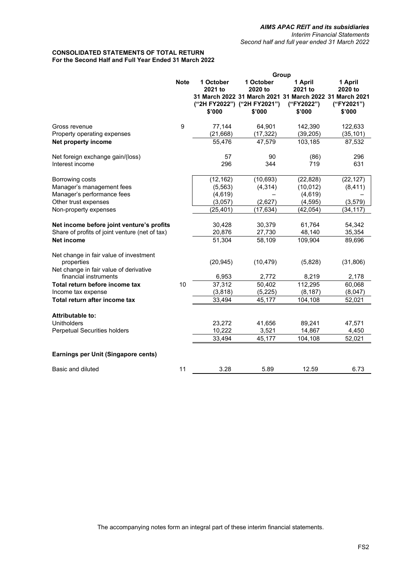## **CONSOLIDATED STATEMENTS OF TOTAL RETURN For the Second Half and Full Year Ended 31 March 2022**

|                                                                 |             | Group                |                                                                                                                |                                  |                                  |  |  |  |
|-----------------------------------------------------------------|-------------|----------------------|----------------------------------------------------------------------------------------------------------------|----------------------------------|----------------------------------|--|--|--|
|                                                                 | <b>Note</b> | 1 October<br>2021 to | 1 October<br>2020 to<br>31 March 2022 31 March 2021 31 March 2022 31 March 2021<br>("2H FY2022") ("2H FY2021") | 1 April<br>2021 to<br>("FY2022") | 1 April<br>2020 to<br>("FY2021") |  |  |  |
|                                                                 |             | \$'000               | \$'000                                                                                                         | \$'000                           | \$'000                           |  |  |  |
| Gross revenue                                                   | 9           | 77,144               | 64,901                                                                                                         | 142,390                          | 122,633                          |  |  |  |
| Property operating expenses                                     |             | (21, 668)            | (17, 322)                                                                                                      | (39, 205)                        | (35, 101)                        |  |  |  |
| Net property income                                             |             | 55,476               | 47,579                                                                                                         | 103,185                          | 87,532                           |  |  |  |
| Net foreign exchange gain/(loss)                                |             | 57                   | 90                                                                                                             | (86)                             | 296                              |  |  |  |
| Interest income                                                 |             | 296                  | 344                                                                                                            | 719                              | 631                              |  |  |  |
| Borrowing costs                                                 |             | (12, 162)            | (10, 693)                                                                                                      | (22, 828)                        | (22, 127)                        |  |  |  |
| Manager's management fees                                       |             | (5, 563)             | (4, 314)                                                                                                       | (10, 012)                        | (8, 411)                         |  |  |  |
| Manager's performance fees                                      |             | (4,619)              |                                                                                                                | (4,619)                          |                                  |  |  |  |
| Other trust expenses                                            |             | (3,057)              | (2,627)                                                                                                        | (4, 595)                         | (3, 579)                         |  |  |  |
| Non-property expenses                                           |             | (25, 401)            | (17, 634)                                                                                                      | (42, 054)                        | (34, 117)                        |  |  |  |
| Net income before joint venture's profits                       |             | 30.428               | 30,379                                                                                                         | 61,764                           | 54,342                           |  |  |  |
| Share of profits of joint venture (net of tax)                  |             | 20,876               | 27,730                                                                                                         | 48,140                           | 35,354                           |  |  |  |
| <b>Net income</b>                                               |             | 51,304               | 58,109                                                                                                         | 109,904                          | 89,696                           |  |  |  |
| Net change in fair value of investment                          |             |                      |                                                                                                                |                                  |                                  |  |  |  |
| properties                                                      |             | (20, 945)            | (10, 479)                                                                                                      | (5,828)                          | (31,806)                         |  |  |  |
| Net change in fair value of derivative<br>financial instruments |             | 6,953                | 2,772                                                                                                          | 8,219                            | 2,178                            |  |  |  |
| Total return before income tax                                  | 10          | 37,312               | 50,402                                                                                                         | 112,295                          | 60,068                           |  |  |  |
| Income tax expense                                              |             | (3,818)              | (5,225)                                                                                                        | (8, 187)                         | (8,047)                          |  |  |  |
| Total return after income tax                                   |             | 33,494               | 45,177                                                                                                         | 104.108                          | 52,021                           |  |  |  |
| Attributable to:                                                |             |                      |                                                                                                                |                                  |                                  |  |  |  |
| Unitholders                                                     |             | 23,272               | 41,656                                                                                                         | 89,241                           | 47,571                           |  |  |  |
| Perpetual Securities holders                                    |             | 10,222               | 3,521                                                                                                          | 14,867                           | 4,450                            |  |  |  |
|                                                                 |             | 33,494               | 45,177                                                                                                         | 104,108                          | 52,021                           |  |  |  |
| Earnings per Unit (Singapore cents)                             |             |                      |                                                                                                                |                                  |                                  |  |  |  |
| Basic and diluted                                               | 11          | 3.28                 | 5.89                                                                                                           | 12.59                            | 6.73                             |  |  |  |
|                                                                 |             |                      |                                                                                                                |                                  |                                  |  |  |  |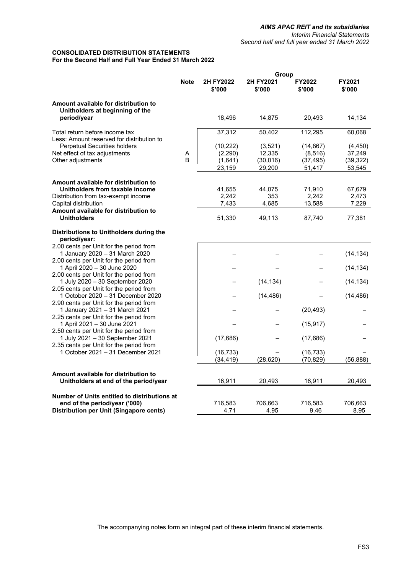### **CONSOLIDATED DISTRIBUTION STATEMENTS For the Second Half and Full Year Ended 31 March 2022**

|                                                                                 |             |                       | Group               |                        |                  |
|---------------------------------------------------------------------------------|-------------|-----------------------|---------------------|------------------------|------------------|
|                                                                                 | <b>Note</b> | 2H FY2022<br>\$'000   | 2H FY2021<br>\$'000 | FY2022<br>\$'000       | FY2021<br>\$'000 |
| Amount available for distribution to<br>Unitholders at beginning of the         |             |                       |                     |                        |                  |
| period/year                                                                     |             | 18,496                | 14,875              | 20,493                 | 14,134           |
| Total return before income tax<br>Less: Amount reserved for distribution to     |             | 37,312                | 50,402              | 112,295                | 60,068           |
| <b>Perpetual Securities holders</b>                                             |             | (10, 222)             | (3, 521)            | (14, 867)              | (4, 450)         |
| Net effect of tax adjustments                                                   | Α           | (2,290)               | 12,335              | (8, 516)               | 37,249           |
| Other adjustments                                                               | B           | (1,641)               | (30, 016)           | (37, 495)              | (39, 322)        |
|                                                                                 |             | 23,159                | 29,200              | 51,417                 | 53,545           |
| Amount available for distribution to                                            |             |                       |                     |                        |                  |
| Unitholders from taxable income                                                 |             | 41,655                | 44,075              | 71,910                 | 67,679           |
| Distribution from tax-exempt income                                             |             | 2,242                 | 353                 | 2,242                  | 2,473            |
| Capital distribution                                                            |             | 7,433                 | 4,685               | 13,588                 | 7,229            |
| Amount available for distribution to<br><b>Unitholders</b>                      |             | 51,330                | 49,113              | 87,740                 | 77,381           |
| Distributions to Unitholders during the<br>period/year:                         |             |                       |                     |                        |                  |
| 2.00 cents per Unit for the period from<br>1 January 2020 - 31 March 2020       |             |                       |                     |                        | (14, 134)        |
| 2.00 cents per Unit for the period from<br>1 April 2020 - 30 June 2020          |             |                       |                     |                        | (14, 134)        |
| 2.00 cents per Unit for the period from<br>1 July 2020 - 30 September 2020      |             |                       | (14, 134)           |                        | (14, 134)        |
| 2.05 cents per Unit for the period from<br>1 October 2020 - 31 December 2020    |             |                       | (14, 486)           |                        | (14, 486)        |
| 2.90 cents per Unit for the period from<br>1 January 2021 - 31 March 2021       |             |                       |                     | (20, 493)              |                  |
| 2.25 cents per Unit for the period from<br>1 April 2021 - 30 June 2021          |             |                       |                     | (15, 917)              |                  |
| 2.50 cents per Unit for the period from<br>1 July 2021 - 30 September 2021      |             | (17,686)              |                     | (17,686)               |                  |
| 2.35 cents per Unit for the period from<br>1 October 2021 - 31 December 2021    |             |                       |                     |                        |                  |
|                                                                                 |             | (16,733)<br>(34, 419) | (28, 620)           | (16, 733)<br>(70, 829) | (56,888)         |
|                                                                                 |             |                       |                     |                        |                  |
| Amount available for distribution to<br>Unitholders at end of the period/year   |             | 16,911                | 20,493              | 16,911                 | 20,493           |
| Number of Units entitled to distributions at                                    |             |                       |                     |                        |                  |
| end of the period/year ('000)<br><b>Distribution per Unit (Singapore cents)</b> |             | 716,583<br>4.71       | 706,663<br>4.95     | 716,583<br>9.46        | 706,663<br>8.95  |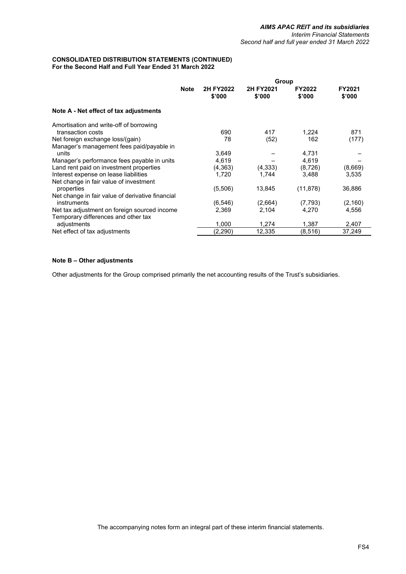## **CONSOLIDATED DISTRIBUTION STATEMENTS (CONTINUED) For the Second Half and Full Year Ended 31 March 2022**

|                                                  |             | Group               |                     |                  |                  |  |  |  |
|--------------------------------------------------|-------------|---------------------|---------------------|------------------|------------------|--|--|--|
|                                                  | <b>Note</b> | 2H FY2022<br>\$'000 | 2H FY2021<br>\$'000 | FY2022<br>\$'000 | FY2021<br>\$'000 |  |  |  |
| Note A - Net effect of tax adjustments           |             |                     |                     |                  |                  |  |  |  |
| Amortisation and write-off of borrowing          |             |                     |                     |                  |                  |  |  |  |
| transaction costs                                |             | 690                 | 417                 | 1,224            | 871              |  |  |  |
| Net foreign exchange loss/(gain)                 |             | 78                  | (52)                | 162              | (177)            |  |  |  |
| Manager's management fees paid/payable in        |             |                     |                     |                  |                  |  |  |  |
| units                                            |             | 3,649               |                     | 4,731            |                  |  |  |  |
| Manager's performance fees payable in units      |             | 4,619               |                     | 4,619            |                  |  |  |  |
| Land rent paid on investment properties          |             | (4,363)             | (4, 333)            | (8,726)          | (8,669)          |  |  |  |
| Interest expense on lease liabilities            |             | 1,720               | 1,744               | 3,488            | 3,535            |  |  |  |
| Net change in fair value of investment           |             |                     |                     |                  |                  |  |  |  |
| properties                                       |             | (5,506)             | 13,845              | (11, 878)        | 36,886           |  |  |  |
| Net change in fair value of derivative financial |             |                     |                     |                  |                  |  |  |  |
| instruments                                      |             | (6, 546)            | (2,664)             | (7.793)          | (2, 160)         |  |  |  |
| Net tax adjustment on foreign sourced income     |             | 2,369               | 2,104               | 4,270            | 4,556            |  |  |  |
| Temporary differences and other tax              |             |                     |                     |                  |                  |  |  |  |
| adjustments                                      |             | 1,000               | 1,274               | 1,387            | 2,407            |  |  |  |
| Net effect of tax adjustments                    |             | (2, 290)            | 12,335              | (8,516)          | 37,249           |  |  |  |

## **Note B – Other adjustments**

Other adjustments for the Group comprised primarily the net accounting results of the Trust's subsidiaries.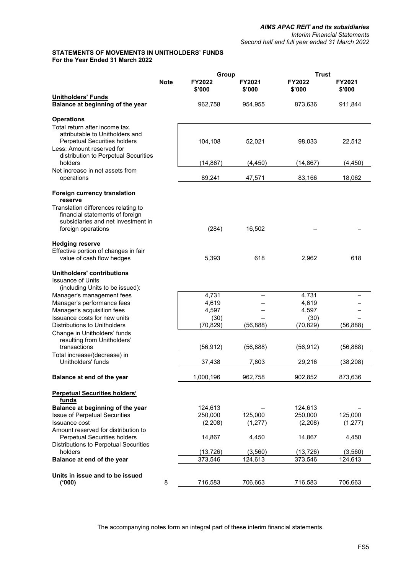*Second half and full year ended 31 March 2022*

## **STATEMENTS OF MOVEMENTS IN UNITHOLDERS' FUNDS For the Year Ended 31 March 2022**

|                                                                                                                                                         |             |                         | Group<br>Trust          |                  |                  |  |  |
|---------------------------------------------------------------------------------------------------------------------------------------------------------|-------------|-------------------------|-------------------------|------------------|------------------|--|--|
|                                                                                                                                                         | <b>Note</b> | <b>FY2022</b><br>\$'000 | <b>FY2021</b><br>\$'000 | FY2022<br>\$'000 | FY2021<br>\$'000 |  |  |
| <b>Unitholders' Funds</b><br>Balance at beginning of the year                                                                                           |             | 962,758                 | 954,955                 | 873,636          | 911,844          |  |  |
| <b>Operations</b>                                                                                                                                       |             |                         |                         |                  |                  |  |  |
| Total return after income tax,<br>attributable to Unitholders and<br>Perpetual Securities holders<br>Less: Amount reserved for                          |             | 104,108                 | 52,021                  | 98,033           | 22,512           |  |  |
| distribution to Perpetual Securities<br>holders                                                                                                         |             | (14, 867)               | (4, 450)                | (14, 867)        | (4, 450)         |  |  |
| Net increase in net assets from<br>operations                                                                                                           |             | 89,241                  | 47,571                  | 83,166           | 18,062           |  |  |
| Foreign currency translation<br>reserve<br>Translation differences relating to<br>financial statements of foreign<br>subsidiaries and net investment in |             |                         |                         |                  |                  |  |  |
| foreign operations                                                                                                                                      |             | (284)                   | 16,502                  |                  |                  |  |  |
| <b>Hedging reserve</b><br>Effective portion of changes in fair<br>value of cash flow hedges                                                             |             | 5,393                   | 618                     | 2,962            | 618              |  |  |
| <b>Unitholders' contributions</b>                                                                                                                       |             |                         |                         |                  |                  |  |  |
| <b>Issuance of Units</b>                                                                                                                                |             |                         |                         |                  |                  |  |  |
| (including Units to be issued):<br>Manager's management fees                                                                                            |             | 4,731                   |                         | 4,731            |                  |  |  |
| Manager's performance fees                                                                                                                              |             | 4,619                   |                         | 4,619            |                  |  |  |
| Manager's acquisition fees                                                                                                                              |             | 4,597                   |                         | 4,597            |                  |  |  |
| Issuance costs for new units                                                                                                                            |             | (30)                    |                         | (30)             |                  |  |  |
| <b>Distributions to Unitholders</b>                                                                                                                     |             | (70, 829)               | (56, 888)               | (70, 829)        | (56,888)         |  |  |
| Change in Unitholders' funds<br>resulting from Unitholders'                                                                                             |             |                         |                         |                  |                  |  |  |
| transactions<br>Total increase/(decrease) in                                                                                                            |             | (56, 912)               | (56, 888)               | (56, 912)        | (56, 888)        |  |  |
| Unitholders' funds                                                                                                                                      |             | 37,438                  | 7,803                   | 29,216           | (38, 208)        |  |  |
| Balance at end of the year                                                                                                                              |             | 1,000,196               | 962,758                 | 902,852          | 873,636          |  |  |
| <b>Perpetual Securities holders'</b><br>funds                                                                                                           |             |                         |                         |                  |                  |  |  |
| Balance at beginning of the year                                                                                                                        |             | 124,613                 |                         | 124,613          |                  |  |  |
| <b>Issue of Perpetual Securities</b>                                                                                                                    |             | 250,000                 | 125,000                 | 250,000          | 125,000          |  |  |
| Issuance cost                                                                                                                                           |             | (2,208)                 | (1, 277)                | (2,208)          | (1, 277)         |  |  |
| Amount reserved for distribution to<br>Perpetual Securities holders                                                                                     |             | 14,867                  | 4,450                   | 14,867           | 4,450            |  |  |
| Distributions to Perpetual Securities<br>holders                                                                                                        |             | (13, 726)               | (3, 560)                | (13, 726)        | (3,560)          |  |  |
| Balance at end of the year                                                                                                                              |             | 373,546                 | 124,613                 | 373,546          | 124,613          |  |  |
| Units in issue and to be issued<br>(000)                                                                                                                | 8           | 716,583                 | 706,663                 | 716,583          | 706,663          |  |  |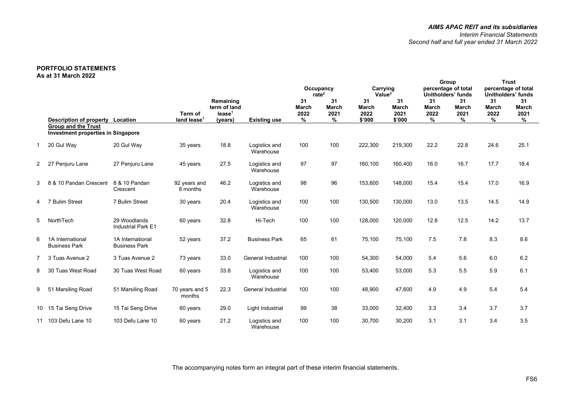## *AIMS APAC REIT and its subsidiaries Interim Financial Statements Second half and full year ended 31 March 2022*

## **PORTFOLIO STATEMENTS As at 31 March 2022**

|                |                                                                         |                                           |                                    |                                                            |                            | rate <sup>2</sup>               | Occupancy                       | Carrying<br>Value <sup>3</sup>       |                                      | percentage of total             | Group<br>Unitholders' funds     |                                 | <b>Trust</b><br>percentage of total<br><b>Unitholders' funds</b> |
|----------------|-------------------------------------------------------------------------|-------------------------------------------|------------------------------------|------------------------------------------------------------|----------------------------|---------------------------------|---------------------------------|--------------------------------------|--------------------------------------|---------------------------------|---------------------------------|---------------------------------|------------------------------------------------------------------|
|                | Description of property Location                                        |                                           | Term of<br>land lease <sup>1</sup> | Remaining<br>term of land<br>lease <sup>1</sup><br>(years) | <b>Existing use</b>        | 31<br><b>March</b><br>2022<br>% | 31<br><b>March</b><br>2021<br>% | 31<br><b>March</b><br>2022<br>\$'000 | 31<br><b>March</b><br>2021<br>\$'000 | 31<br><b>March</b><br>2022<br>% | 31<br><b>March</b><br>2021<br>% | 31<br><b>March</b><br>2022<br>% | 31<br><b>March</b><br>2021<br>%                                  |
|                | <b>Group and the Trust</b><br><b>Investment properties in Singapore</b> |                                           |                                    |                                                            |                            |                                 |                                 |                                      |                                      |                                 |                                 |                                 |                                                                  |
| $\mathbf{1}$   | 20 Gul Way                                                              | 20 Gul Way                                | 35 years                           | 18.8                                                       | Logistics and<br>Warehouse | 100                             | 100                             | 222,300                              | 219,300                              | 22.2                            | 22.8                            | 24.6                            | 25.1                                                             |
| $\overline{2}$ | Penjuru Lane<br>27                                                      | 27 Penjuru Lane                           | 45 years                           | 27.5                                                       | Logistics and<br>Warehouse | 97                              | 97                              | 160,100                              | 160,400                              | 16.0                            | 16.7                            | 17.7                            | 18.4                                                             |
| 3              | 8 & 10 Pandan Crescent                                                  | 8 & 10 Pandan<br>Crescent                 | 92 years and<br>8 months           | 46.2                                                       | Logistics and<br>Warehouse | 98                              | 96                              | 153,600                              | 148,000                              | 15.4                            | 15.4                            | 17.0                            | 16.9                                                             |
| 4              | 7 Bulim Street                                                          | 7 Bulim Street                            | 30 years                           | 20.4                                                       | Logistics and<br>Warehouse | 100                             | 100                             | 130,500                              | 130,000                              | 13.0                            | 13.5                            | 14.5                            | 14.9                                                             |
| 5              | NorthTech                                                               | 29 Woodlands<br><b>Industrial Park E1</b> | 60 years                           | 32.8                                                       | Hi-Tech                    | 100                             | 100                             | 128,000                              | 120,000                              | 12.8                            | 12.5                            | 14.2                            | 13.7                                                             |
| 6              | 1A International<br><b>Business Park</b>                                | 1A International<br><b>Business Park</b>  | 52 years                           | 37.2                                                       | <b>Business Park</b>       | 65                              | 61                              | 75,100                               | 75,100                               | 7.5                             | 7.8                             | 8.3                             | 8.6                                                              |
| $\overline{7}$ | 3 Tuas Avenue 2                                                         | 3 Tuas Avenue 2                           | 73 years                           | 33.0                                                       | General Industrial         | 100                             | 100                             | 54,300                               | 54,000                               | 5.4                             | 5.6                             | 6.0                             | 6.2                                                              |
| 8              | 30 Tuas West Road                                                       | 30 Tuas West Road                         | 60 years                           | 33.8                                                       | Logistics and<br>Warehouse | 100                             | 100                             | 53,400                               | 53,000                               | 5.3                             | 5.5                             | 5.9                             | 6.1                                                              |
| 9              | 51 Marsiling Road                                                       | 51 Marsiling Road                         | 70 years and 5<br>months           | 22.3                                                       | General Industrial         | 100                             | 100                             | 48,900                               | 47,600                               | 4.9                             | 4.9                             | 5.4                             | 5.4                                                              |
|                | 10 15 Tai Seng Drive                                                    | 15 Tai Seng Drive                         | 60 years                           | 29.0                                                       | Light Industrial           | 99                              | 38                              | 33,000                               | 32,400                               | 3.3                             | 3.4                             | 3.7                             | 3.7                                                              |
|                | 11 103 Defu Lane 10                                                     | 103 Defu Lane 10                          | 60 years                           | 21.2                                                       | Logistics and<br>Warehouse | 100                             | 100                             | 30,700                               | 30,200                               | 3.1                             | 3.1                             | 3.4                             | 3.5                                                              |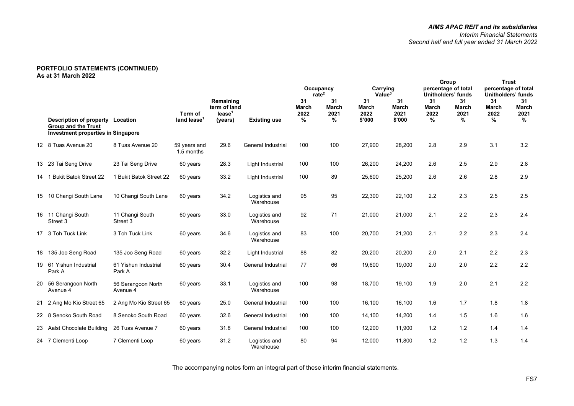|    |                                                                                                    |                                |                            |                                                 |                            |                     | Occupancy<br>rate $2$      | Carrying<br>Value <sup>3</sup> |                            | Group                      | percentage of total<br><b>Unitholders' funds</b> |                            | <b>Trust</b><br>percentage of total<br><b>Unitholders' funds</b> |
|----|----------------------------------------------------------------------------------------------------|--------------------------------|----------------------------|-------------------------------------------------|----------------------------|---------------------|----------------------------|--------------------------------|----------------------------|----------------------------|--------------------------------------------------|----------------------------|------------------------------------------------------------------|
|    |                                                                                                    |                                | Term of                    | Remaining<br>term of land<br>lease <sup>1</sup> |                            | 31<br>March<br>2022 | 31<br><b>March</b><br>2021 | 31<br><b>March</b><br>2022     | 31<br><b>March</b><br>2021 | 31<br><b>March</b><br>2022 | 31<br><b>March</b><br>2021                       | 31<br><b>March</b><br>2022 | 31<br><b>March</b><br>2021                                       |
|    | Description of property<br><b>Group and the Trust</b><br><b>Investment properties in Singapore</b> | Location                       | land lease                 | (years)                                         | <b>Existing use</b>        | ℅                   | %                          | \$'000                         | \$'000                     | %                          | %                                                | ℅                          | %                                                                |
|    | 12 8 Tuas Avenue 20                                                                                | 8 Tuas Avenue 20               | 59 years and<br>1.5 months | 29.6                                            | <b>General Industrial</b>  | 100                 | 100                        | 27,900                         | 28,200                     | 2.8                        | 2.9                                              | 3.1                        | 3.2                                                              |
|    | 13 23 Tai Seng Drive                                                                               | 23 Tai Seng Drive              | 60 years                   | 28.3                                            | Light Industrial           | 100                 | 100                        | 26,200                         | 24,200                     | 2.6                        | 2.5                                              | 2.9                        | 2.8                                                              |
|    | 14 1 Bukit Batok Street 22                                                                         | 1 Bukit Batok Street 22        | 60 years                   | 33.2                                            | Light Industrial           | 100                 | 89                         | 25,600                         | 25,200                     | 2.6                        | 2.6                                              | 2.8                        | 2.9                                                              |
|    | 15 10 Changi South Lane                                                                            | 10 Changi South Lane           | 60 years                   | 34.2                                            | Logistics and<br>Warehouse | 95                  | 95                         | 22,300                         | 22,100                     | 2.2                        | 2.3                                              | 2.5                        | 2.5                                                              |
|    | 16 11 Changi South<br>Street 3                                                                     | 11 Changi South<br>Street 3    | 60 years                   | 33.0                                            | Logistics and<br>Warehouse | 92                  | 71                         | 21,000                         | 21,000                     | 2.1                        | 2.2                                              | 2.3                        | 2.4                                                              |
|    | 17 3 Toh Tuck Link                                                                                 | 3 Toh Tuck Link                | 60 years                   | 34.6                                            | Logistics and<br>Warehouse | 83                  | 100                        | 20,700                         | 21,200                     | 2.1                        | 2.2                                              | 2.3                        | 2.4                                                              |
|    | 18 135 Joo Seng Road                                                                               | 135 Joo Seng Road              | 60 years                   | 32.2                                            | Light Industrial           | 88                  | 82                         | 20,200                         | 20,200                     | 2.0                        | 2.1                                              | 2.2                        | 2.3                                                              |
|    | 19 61 Yishun Industrial<br>Park A                                                                  | 61 Yishun Industrial<br>Park A | 60 years                   | 30.4                                            | General Industrial         | 77                  | 66                         | 19,600                         | 19,000                     | 2.0                        | 2.0                                              | 2.2                        | 2.2                                                              |
| 20 | 56 Serangoon North<br>Avenue 4                                                                     | 56 Serangoon North<br>Avenue 4 | 60 years                   | 33.1                                            | Logistics and<br>Warehouse | 100                 | 98                         | 18,700                         | 19,100                     | 1.9                        | 2.0                                              | 2.1                        | 2.2                                                              |
|    | 21 2 Ang Mo Kio Street 65                                                                          | 2 Ang Mo Kio Street 65         | 60 years                   | 25.0                                            | General Industrial         | 100                 | 100                        | 16,100                         | 16,100                     | 1.6                        | 1.7                                              | 1.8                        | 1.8                                                              |
|    | 22 8 Senoko South Road                                                                             | 8 Senoko South Road            | 60 years                   | 32.6                                            | General Industrial         | 100                 | 100                        | 14,100                         | 14,200                     | 1.4                        | 1.5                                              | 1.6                        | 1.6                                                              |
|    | 23 Aalst Chocolate Building                                                                        | 26 Tuas Avenue 7               | 60 years                   | 31.8                                            | <b>General Industrial</b>  | 100                 | 100                        | 12,200                         | 11,900                     | 1.2                        | 1.2                                              | 1.4                        | 1.4                                                              |
|    | 24 7 Clementi Loop                                                                                 | 7 Clementi Loop                | 60 years                   | 31.2                                            | Logistics and<br>Warehouse | 80                  | 94                         | 12,000                         | 11,800                     | 1.2                        | 1.2                                              | 1.3                        | 1.4                                                              |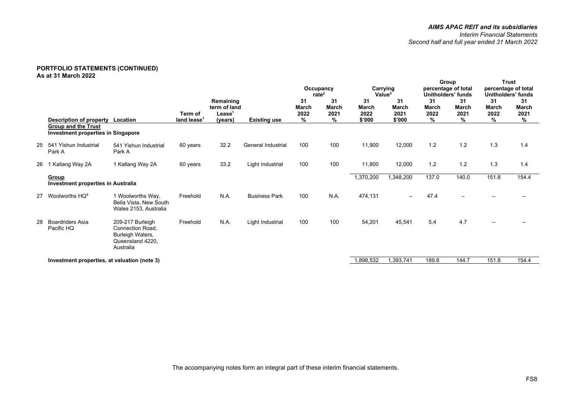|    |                                                                                                             |                                                                                                  |                         |                                    |                      |                     | Occupancy<br>rate $2$      | Value <sup>3</sup>         | Carrying                   | percentage of total        | Group<br>Unitholders' funds |                     | <b>Trust</b><br>percentage of total<br>Unitholders' funds |
|----|-------------------------------------------------------------------------------------------------------------|--------------------------------------------------------------------------------------------------|-------------------------|------------------------------------|----------------------|---------------------|----------------------------|----------------------------|----------------------------|----------------------------|-----------------------------|---------------------|-----------------------------------------------------------|
|    |                                                                                                             |                                                                                                  | Term of                 | Remaining<br>term of land<br>Lease |                      | 31<br>March<br>2022 | 31<br><b>March</b><br>2021 | 31<br><b>March</b><br>2022 | 31<br><b>March</b><br>2021 | 31<br><b>March</b><br>2022 | 31<br><b>March</b><br>2021  | 31<br>March<br>2022 | 31<br><b>March</b><br>2021                                |
|    | Description of property Location<br><b>Group and the Trust</b><br><b>Investment properties in Singapore</b> |                                                                                                  | land lease <sup>1</sup> | (years)                            | <b>Existing use</b>  | %                   | ℅                          | \$'000                     | \$'000                     | %                          | %                           | %                   | %                                                         |
| 25 | 541 Yishun Industrial<br>Park A                                                                             | 541 Yishun Industrial<br>Park A                                                                  | 60 years                | 32.2                               | General Industrial   | 100                 | 100                        | 11,900                     | 12,000                     | 1.2                        | 1.2                         | 1.3                 | 1.4                                                       |
| 26 | 1 Kallang Way 2A                                                                                            | 1 Kallang Way 2A                                                                                 | 60 years                | 33.2                               | Light Industrial     | 100                 | 100                        | 11,800                     | 12,000                     | 1.2                        | 1.2                         | 1.3                 | 1.4                                                       |
|    | <b>Group</b><br>Investment properties in Australia                                                          |                                                                                                  |                         |                                    |                      |                     |                            | 1,370,200                  | 1,348,200                  | 137.0                      | 140.0                       | 151.8               | 154.4                                                     |
| 27 | Woolworths HQ <sup>4</sup>                                                                                  | 1 Woolworths Way,<br>Bella Vista, New South<br>Wales 2153, Australia                             | Freehold                | N.A.                               | <b>Business Park</b> | 100                 | N.A.                       | 474,131                    |                            | 47.4                       | $\overline{\phantom{m}}$    |                     |                                                           |
| 28 | <b>Boardriders Asia</b><br>Pacific HO                                                                       | 209-217 Burleigh<br><b>Connection Road.</b><br>Burleigh Waters,<br>Queensland 4220,<br>Australia | Freehold                | N.A.                               | Light Industrial     | 100                 | 100                        | 54,201                     | 45,541                     | 5.4                        | 4.7                         |                     |                                                           |
|    | Investment properties, at valuation (note 3)                                                                |                                                                                                  |                         |                                    |                      |                     |                            | 1,898,532                  | ,393,741                   | 189.8                      | 144.7                       | 151.8               | 154.4                                                     |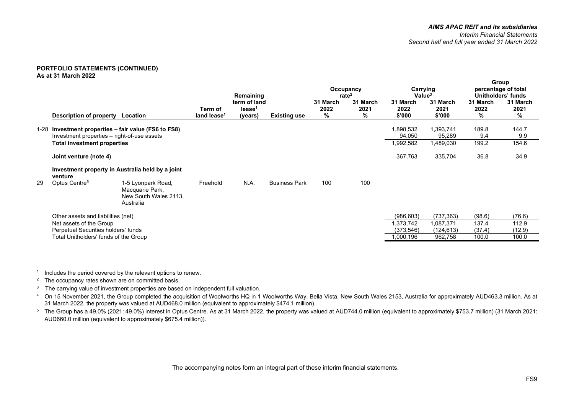| term of land<br>31 March<br>31 March<br>31 March<br>2022<br>2021<br>2022<br>Term of<br>lease <sup>1</sup><br>%<br>%<br>land lease <sup>1</sup><br>\$'000<br>Description of property<br><b>Existing use</b><br>Location<br>(years)<br>Investment properties – fair value (FS6 to FS8)<br>1,898,532<br>1-28 | Group<br>percentage of total<br>Unitholders' funds                           |
|-----------------------------------------------------------------------------------------------------------------------------------------------------------------------------------------------------------------------------------------------------------------------------------------------------------|------------------------------------------------------------------------------|
|                                                                                                                                                                                                                                                                                                           | 31 March<br>31 March<br>31 March<br>2021<br>2022<br>2021<br>%<br>%<br>\$'000 |
| 94,050<br>Investment properties – right-of-use assets                                                                                                                                                                                                                                                     | 144.7<br>1,393,741<br>189.8<br>95,289<br>9.4<br>9.9                          |
| <b>Total investment properties</b><br>1,992,582                                                                                                                                                                                                                                                           | 154.6<br>199.2<br>1,489,030                                                  |
| 367,763<br>Joint venture (note 4)                                                                                                                                                                                                                                                                         | 34.9<br>335,704<br>36.8                                                      |
| Investment property in Australia held by a joint<br>venture                                                                                                                                                                                                                                               |                                                                              |
| 29<br>100<br>N.A.<br>100<br>Optus Centre <sup>5</sup><br>1-5 Lyonpark Road,<br>Freehold<br><b>Business Park</b><br>Macquarie Park,<br>New South Wales 2113,<br>Australia                                                                                                                                  |                                                                              |
| (986,603)<br>Other assets and liabilities (net)                                                                                                                                                                                                                                                           | (98.6)<br>(76.6)<br>(737, 363)                                               |
| Net assets of the Group<br>1,373,742                                                                                                                                                                                                                                                                      | 112.9<br>137.4<br>1,087,371                                                  |
| Perpetual Securities holders' funds<br>(373,546)                                                                                                                                                                                                                                                          | (12.9)<br>(37.4)<br>(124, 613)                                               |
| Total Unitholders' funds of the Group<br>1,000,196                                                                                                                                                                                                                                                        | 962,758<br>100.0<br>100.0                                                    |

<sup>1</sup> Includes the period covered by the relevant options to renew.

<sup>2</sup> The occupancy rates shown are on committed basis.

<sup>3</sup> The carrying value of investment properties are based on independent full valuation.

<sup>4</sup> On 15 November 2021, the Group completed the acquisition of Woolworths HQ in 1 Woolworths Way, Bella Vista, New South Wales 2153, Australia for approximately AUD463.3 million. As at 31 March 2022, the property was valued at AUD468.0 million (equivalent to approximately \$474.1 million).

<sup>5</sup> The Group has a 49.0% (2021: 49.0%) interest in Optus Centre. As at 31 March 2022, the property was valued at AUD744.0 million (equivalent to approximately \$753.7 million) (31 March 2021: AUD660.0 million (equivalent to approximately \$675.4 million)).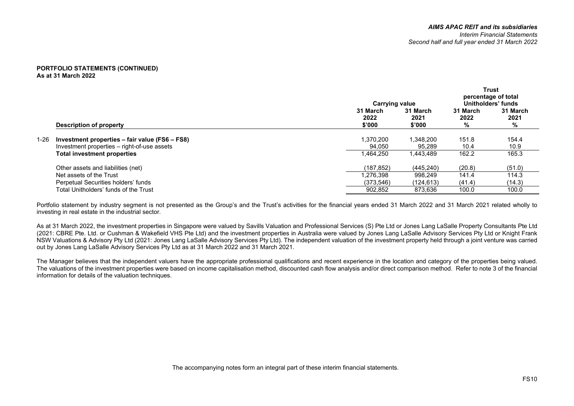|      |                                                |                       |            |                    | <b>Trust</b>        |  |
|------|------------------------------------------------|-----------------------|------------|--------------------|---------------------|--|
|      |                                                |                       |            |                    | percentage of total |  |
|      |                                                | <b>Carrying value</b> |            | Unitholders' funds |                     |  |
|      |                                                | 31 March              | 31 March   | 31 March           | 31 March            |  |
|      |                                                | 2022                  | 2021       | 2022               | 2021                |  |
|      | Description of property                        | \$'000                | \$'000     | ℅                  | %                   |  |
| 1-26 | Investment properties - fair value (FS6 - FS8) | 1.370.200             | 1,348,200  | 151.8              | 154.4               |  |
|      | Investment properties – right-of-use assets    | 94.050                | 95.289     | 10.4               | 10.9                |  |
|      | <b>Total investment properties</b>             | 1.464.250             | 1.443.489  | 162.2              | 165.3               |  |
|      | Other assets and liabilities (net)             | (187,852)             | (445, 240) | (20.8)             | (51.0)              |  |
|      | Net assets of the Trust                        | 1.276.398             | 998.249    | 141.4              | 114.3               |  |
|      | Perpetual Securities holders' funds            | (373, 546)            | (124, 613) | (41.4)             | (14.3)              |  |
|      | Total Unitholders' funds of the Trust          | 902.852               | 873.636    | 100.0              | 100.0               |  |

Portfolio statement by industry segment is not presented as the Group's and the Trust's activities for the financial years ended 31 March 2022 and 31 March 2021 related wholly to investing in real estate in the industrial sector.

As at 31 March 2022, the investment properties in Singapore were valued by Savills Valuation and Professional Services (S) Pte Ltd or Jones Lang LaSalle Property Consultants Pte Ltd (2021: CBRE Pte. Ltd. or Cushman & Wakefield VHS Pte Ltd) and the investment properties in Australia were valued by Jones Lang LaSalle Advisory Services Pty Ltd or Knight Frank NSW Valuations & Advisory Pty Ltd (2021: Jones Lang LaSalle Advisory Services Pty Ltd). The independent valuation of the investment property held through a joint venture was carried out by Jones Lang LaSalle Advisory Services Pty Ltd as at 31 March 2022 and 31 March 2021.

The Manager believes that the independent valuers have the appropriate professional qualifications and recent experience in the location and category of the properties being valued. The valuations of the investment properties were based on income capitalisation method, discounted cash flow analysis and/or direct comparison method. Refer to note 3 of the financial information for details of the valuation techniques.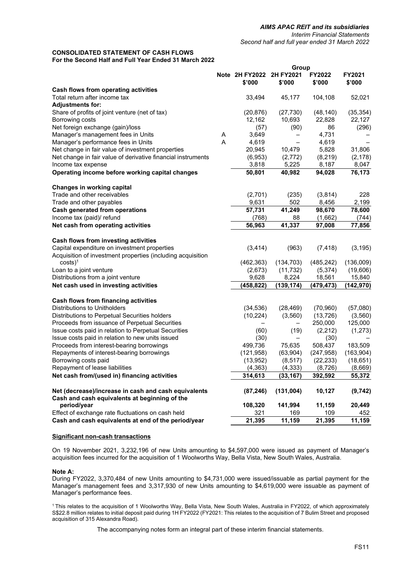#### **CONSOLIDATED STATEMENT OF CASH FLOWS For the Second Half and Full Year Ended 31 March 2022**

|                                                                                                             |   |                                 | Group                    |                  |                  |
|-------------------------------------------------------------------------------------------------------------|---|---------------------------------|--------------------------|------------------|------------------|
|                                                                                                             |   | <b>Note 2H FY2022</b><br>\$'000 | 2H FY2021<br>\$'000      | FY2022<br>\$'000 | FY2021<br>\$'000 |
| Cash flows from operating activities                                                                        |   |                                 |                          |                  |                  |
| Total return after income tax<br><b>Adjustments for:</b>                                                    |   | 33,494                          | 45,177                   | 104,108          | 52,021           |
| Share of profits of joint venture (net of tax)                                                              |   | (20, 876)                       | (27, 730)                | (48, 140)        | (35, 354)        |
| Borrowing costs                                                                                             |   | 12,162                          | 10,693                   | 22,828           | 22,127           |
| Net foreign exchange (gain)/loss                                                                            |   | (57)                            | (90)                     | 86               | (296)            |
| Manager's management fees in Units                                                                          | Α | 3,649                           |                          | 4,731            |                  |
| Manager's performance fees in Units                                                                         | A | 4,619                           | $\overline{\phantom{0}}$ | 4,619            |                  |
| Net change in fair value of investment properties                                                           |   | 20,945                          | 10,479                   | 5,828            | 31,806           |
| Net change in fair value of derivative financial instruments                                                |   | (6,953)                         | (2,772)                  | (8, 219)         | (2, 178)         |
| Income tax expense                                                                                          |   | 3,818                           | 5,225                    | 8,187            | 8,047            |
| Operating income before working capital changes                                                             |   | 50,801                          | 40,982                   | 94,028           | 76,173           |
| Changes in working capital                                                                                  |   |                                 |                          |                  |                  |
| Trade and other receivables                                                                                 |   | (2,701)                         | (235)                    | (3,814)          | 228              |
| Trade and other payables                                                                                    |   | 9,631                           | 502                      | 8,456            | 2,199            |
| <b>Cash generated from operations</b>                                                                       |   | 57,731                          | 41,249                   | 98,670           | 78,600           |
| Income tax (paid)/ refund                                                                                   |   | (768)                           | 88                       | (1,662)          | (744)            |
| Net cash from operating activities                                                                          |   | 56,963                          | 41,337                   | 97,008           | 77,856           |
| Cash flows from investing activities                                                                        |   |                                 |                          |                  |                  |
| Capital expenditure on investment properties<br>Acquisition of investment properties (including acquisition |   | (3, 414)                        | (963)                    | (7, 418)         | (3, 195)         |
| $costs$ <sup>1</sup>                                                                                        |   | (462, 363)                      | (134, 703)               | (485, 242)       | (136,009)        |
| Loan to a joint venture                                                                                     |   | (2,673)                         | (11, 732)                | (5, 374)         | (19,606)         |
| Distributions from a joint venture                                                                          |   | 9,628                           | 8,224                    | 18,561           | 15,840           |
| Net cash used in investing activities                                                                       |   | (458,822)                       | (139, 174)               | (479, 473)       | (142, 970)       |
|                                                                                                             |   |                                 |                          |                  |                  |
| Cash flows from financing activities                                                                        |   |                                 |                          |                  |                  |
| Distributions to Unitholders                                                                                |   | (34, 536)                       | (28, 469)                | (70, 960)        | (57,080)         |
| Distributions to Perpetual Securities holders                                                               |   | (10, 224)                       | (3, 560)                 | (13, 726)        | (3, 560)         |
| Proceeds from issuance of Perpetual Securities                                                              |   |                                 |                          | 250,000          | 125,000          |
| Issue costs paid in relation to Perpetual Securities                                                        |   | (60)                            | (19)                     | (2, 212)         | (1, 273)         |
| Issue costs paid in relation to new units issued                                                            |   | (30)                            |                          | (30)             |                  |
| Proceeds from interest-bearing borrowings                                                                   |   | 499,736                         | 75,635                   | 508,437          | 183,509          |
| Repayments of interest-bearing borrowings                                                                   |   | (121, 958)                      | (63,904)                 | (247, 958)       | (163, 904)       |
| Borrowing costs paid                                                                                        |   | (13, 952)                       | (8, 517)                 | (22, 233)        | (18, 651)        |
| Repayment of lease liabilities                                                                              |   | (4, 363)                        | (4, 333)                 | (8, 726)         | (8,669)          |
| Net cash from/(used in) financing activities                                                                |   | 314,613                         | (33, 167)                | 392,592          | 55,372           |
| Net (decrease)/increase in cash and cash equivalents                                                        |   | (87, 246)                       | (131,004)                | 10,127           | (9, 742)         |
| Cash and cash equivalents at beginning of the                                                               |   | 108,320                         |                          |                  | 20,449           |
| period/year<br>Effect of exchange rate fluctuations on cash held                                            |   | 321                             | 141,994<br>169           | 11,159           |                  |
| Cash and cash equivalents at end of the period/year                                                         |   | 21,395                          | 11,159                   | 109<br>21,395    | 452<br>11,159    |
|                                                                                                             |   |                                 |                          |                  |                  |

### **Significant non-cash transactions**

On 19 November 2021, 3,232,196 of new Units amounting to \$4,597,000 were issued as payment of Manager's acquisition fees incurred for the acquisition of 1 Woolworths Way, Bella Vista, New South Wales, Australia.

#### **Note A:**

During FY2022, 3,370,484 of new Units amounting to \$4,731,000 were issued/issuable as partial payment for the Manager's management fees and 3,317,930 of new Units amounting to \$4,619,000 were issuable as payment of Manager's performance fees.

<sup>1</sup> This relates to the acquisition of 1 Woolworths Way, Bella Vista, New South Wales, Australia in FY2022, of which approximately S\$22.8 million relates to initial deposit paid during 1H FY2022 (FY2021: This relates to the acquisition of 7 Bulim Street and proposed acquisition of 315 Alexandra Road).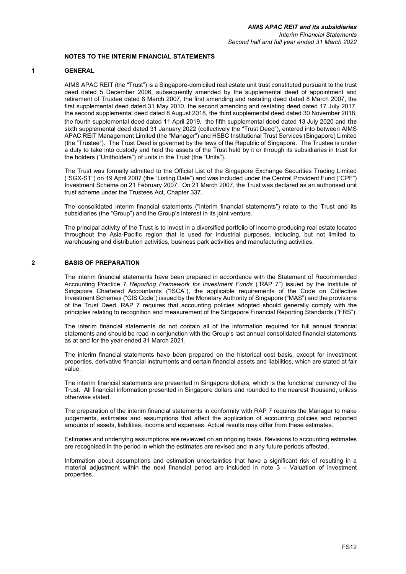## **NOTES TO THE INTERIM FINANCIAL STATEMENTS**

#### **1 GENERAL**

AIMS APAC REIT (the "Trust") is a Singapore-domiciled real estate unit trust constituted pursuant to the trust deed dated 5 December 2006, subsequently amended by the supplemental deed of appointment and retirement of Trustee dated 8 March 2007, the first amending and restating deed dated 8 March 2007, the first supplemental deed dated 31 May 2010, the second amending and restating deed dated 17 July 2017, the second supplemental deed dated 8 August 2018, the third supplemental deed dated 30 November 2018, the fourth supplemental deed dated 11 April 2019, the fifth supplemental deed dated 13 July 2020 and the sixth supplemental deed dated 31 January 2022 (collectively the "Trust Deed"), entered into between AIMS APAC REIT Management Limited (the "Manager") and HSBC Institutional Trust Services (Singapore) Limited (the "Trustee"). The Trust Deed is governed by the laws of the Republic of Singapore. The Trustee is under a duty to take into custody and hold the assets of the Trust held by it or through its subsidiaries in trust for the holders ("Unitholders") of units in the Trust (the "Units").

The Trust was formally admitted to the Official List of the Singapore Exchange Securities Trading Limited ("SGX-ST") on 19 April 2007 (the "Listing Date") and was included under the Central Provident Fund ("CPF") Investment Scheme on 21 February 2007. On 21 March 2007, the Trust was declared as an authorised unit trust scheme under the Trustees Act, Chapter 337.

The consolidated interim financial statements ("interim financial statements") relate to the Trust and its subsidiaries (the "Group") and the Group's interest in its joint venture.

The principal activity of the Trust is to invest in a diversified portfolio of income-producing real estate located throughout the Asia-Pacific region that is used for industrial purposes, including, but not limited to, warehousing and distribution activities, business park activities and manufacturing activities.

#### **2 BASIS OF PREPARATION**

The interim financial statements have been prepared in accordance with the Statement of Recommended Accounting Practice 7 *Reporting Framework for Investment Funds* ("RAP 7") issued by the Institute of Singapore Chartered Accountants ("ISCA"), the applicable requirements of the Code on Collective Investment Schemes ("CIS Code") issued by the Monetary Authority of Singapore ("MAS") and the provisions of the Trust Deed. RAP 7 requires that accounting policies adopted should generally comply with the principles relating to recognition and measurement of the Singapore Financial Reporting Standards ("FRS").

The interim financial statements do not contain all of the information required for full annual financial statements and should be read in conjunction with the Group's last annual consolidated financial statements as at and for the year ended 31 March 2021.

The interim financial statements have been prepared on the historical cost basis, except for investment properties, derivative financial instruments and certain financial assets and liabilities, which are stated at fair value.

The interim financial statements are presented in Singapore dollars, which is the functional currency of the Trust. All financial information presented in Singapore dollars and rounded to the nearest thousand, unless otherwise stated.

The preparation of the interim financial statements in conformity with RAP 7 requires the Manager to make judgements, estimates and assumptions that affect the application of accounting policies and reported amounts of assets, liabilities, income and expenses. Actual results may differ from these estimates.

Estimates and underlying assumptions are reviewed on an ongoing basis. Revisions to accounting estimates are recognised in the period in which the estimates are revised and in any future periods affected.

Information about assumptions and estimation uncertainties that have a significant risk of resulting in a material adjustment within the next financial period are included in note 3 – Valuation of investment properties.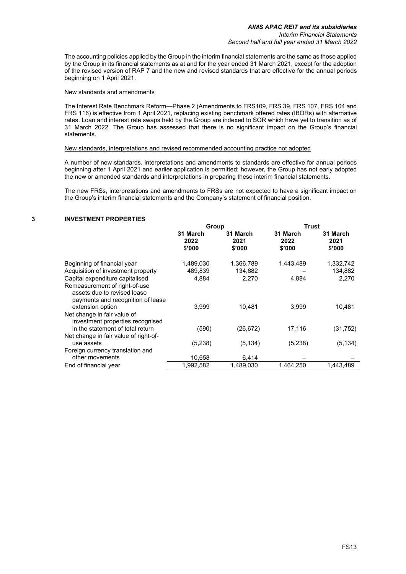The accounting policies applied by the Group in the interim financial statements are the same as those applied by the Group in its financial statements as at and for the year ended 31 March 2021, except for the adoption of the revised version of RAP 7 and the new and revised standards that are effective for the annual periods beginning on 1 April 2021.

#### New standards and amendments

The Interest Rate Benchmark Reform—Phase 2 (Amendments to FRS109, FRS 39, FRS 107, FRS 104 and FRS 116) is effective from 1 April 2021, replacing existing benchmark offered rates (IBORs) with alternative rates. Loan and interest rate swaps held by the Group are indexed to SOR which have yet to transition as of 31 March 2022. The Group has assessed that there is no significant impact on the Group's financial statements.

#### New standards, interpretations and revised recommended accounting practice not adopted

A number of new standards, interpretations and amendments to standards are effective for annual periods beginning after 1 April 2021 and earlier application is permitted; however, the Group has not early adopted the new or amended standards and interpretations in preparing these interim financial statements.

The new FRSs, interpretations and amendments to FRSs are not expected to have a significant impact on the Group's interim financial statements and the Company's statement of financial position.

### **3 INVESTMENT PROPERTIES**

|                                                                                                                       | Group                      |                            | Trust                      |                            |
|-----------------------------------------------------------------------------------------------------------------------|----------------------------|----------------------------|----------------------------|----------------------------|
|                                                                                                                       | 31 March<br>2022<br>\$'000 | 31 March<br>2021<br>\$'000 | 31 March<br>2022<br>\$'000 | 31 March<br>2021<br>\$'000 |
| Beginning of financial year                                                                                           | 1,489,030                  | 1,366,789                  | 1,443,489                  | 1,332,742                  |
| Acquisition of investment property                                                                                    | 489,839                    | 134,882                    |                            | 134,882                    |
| Capital expenditure capitalised                                                                                       | 4,884                      | 2,270                      | 4,884                      | 2,270                      |
| Remeasurement of right-of-use<br>assets due to revised lease<br>payments and recognition of lease<br>extension option | 3.999                      | 10,481                     | 3,999                      | 10,481                     |
| Net change in fair value of<br>investment properties recognised                                                       |                            |                            |                            |                            |
| in the statement of total return<br>Net change in fair value of right-of-                                             | (590)                      | (26, 672)                  | 17,116                     | (31, 752)                  |
| use assets                                                                                                            | (5,238)                    | (5, 134)                   | (5,238)                    | (5, 134)                   |
| Foreign currency translation and                                                                                      |                            |                            |                            |                            |
| other movements                                                                                                       | 10,658                     | 6,414                      |                            |                            |
| End of financial year                                                                                                 | 1,992,582                  | 1,489,030                  | 1,464,250                  | 1,443,489                  |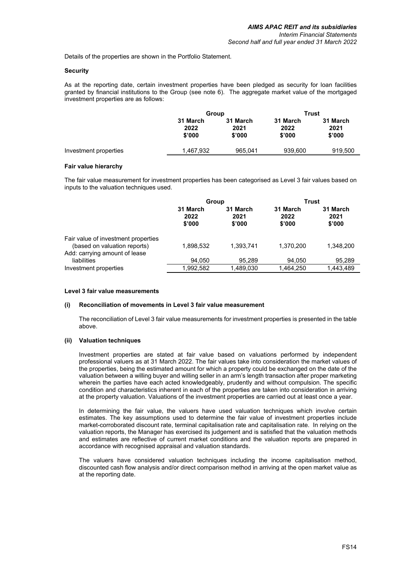Details of the properties are shown in the Portfolio Statement.

#### **Security**

As at the reporting date, certain investment properties have been pledged as security for loan facilities granted by financial institutions to the Group (see note 6). The aggregate market value of the mortgaged investment properties are as follows:

|                       | Group                      |                            | Trust                      |                            |
|-----------------------|----------------------------|----------------------------|----------------------------|----------------------------|
|                       | 31 March<br>2022<br>\$'000 | 31 March<br>2021<br>\$'000 | 31 March<br>2022<br>\$'000 | 31 March<br>2021<br>\$'000 |
| Investment properties | 1,467,932                  | 965,041                    | 939,600                    | 919,500                    |

### **Fair value hierarchy**

The fair value measurement for investment properties has been categorised as Level 3 fair values based on inputs to the valuation techniques used.

|                                                                                                      | Group                      |                            | <b>Trust</b>               |                            |
|------------------------------------------------------------------------------------------------------|----------------------------|----------------------------|----------------------------|----------------------------|
|                                                                                                      | 31 March<br>2022<br>\$'000 | 31 March<br>2021<br>\$'000 | 31 March<br>2022<br>\$'000 | 31 March<br>2021<br>\$'000 |
| Fair value of investment properties<br>(based on valuation reports)<br>Add: carrying amount of lease | 1.898.532                  | 1.393.741                  | 1.370.200                  | 1.348.200                  |
| liabilities                                                                                          | 94,050                     | 95.289                     | 94.050                     | 95,289                     |
| Investment properties                                                                                | 1,992,582                  | 1,489,030                  | 1,464,250                  | 1.443.489                  |

#### **Level 3 fair value measurements**

#### **(i) Reconciliation of movements in Level 3 fair value measurement**

The reconciliation of Level 3 fair value measurements for investment properties is presented in the table above.

## **(ii) Valuation techniques**

Investment properties are stated at fair value based on valuations performed by independent professional valuers as at 31 March 2022. The fair values take into consideration the market values of the properties, being the estimated amount for which a property could be exchanged on the date of the valuation between a willing buyer and willing seller in an arm's length transaction after proper marketing wherein the parties have each acted knowledgeably, prudently and without compulsion. The specific condition and characteristics inherent in each of the properties are taken into consideration in arriving at the property valuation. Valuations of the investment properties are carried out at least once a year.

In determining the fair value, the valuers have used valuation techniques which involve certain estimates. The key assumptions used to determine the fair value of investment properties include market-corroborated discount rate, terminal capitalisation rate and capitalisation rate. In relying on the valuation reports, the Manager has exercised its judgement and is satisfied that the valuation methods and estimates are reflective of current market conditions and the valuation reports are prepared in accordance with recognised appraisal and valuation standards.

The valuers have considered valuation techniques including the income capitalisation method, discounted cash flow analysis and/or direct comparison method in arriving at the open market value as at the reporting date.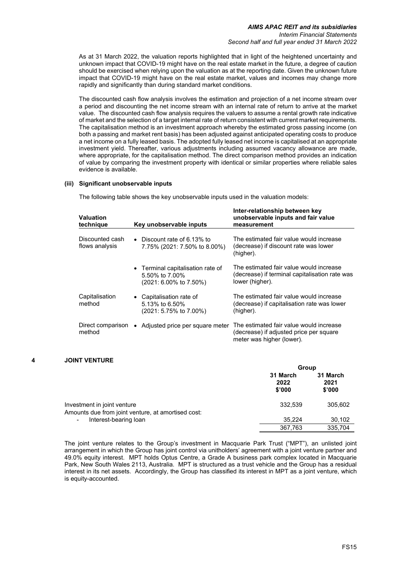As at 31 March 2022, the valuation reports highlighted that in light of the heightened uncertainty and unknown impact that COVID-19 might have on the real estate market in the future, a degree of caution should be exercised when relying upon the valuation as at the reporting date. Given the unknown future impact that COVID-19 might have on the real estate market, values and incomes may change more rapidly and significantly than during standard market conditions.

The discounted cash flow analysis involves the estimation and projection of a net income stream over a period and discounting the net income stream with an internal rate of return to arrive at the market value. The discounted cash flow analysis requires the valuers to assume a rental growth rate indicative of market and the selection of a target internal rate of return consistent with current market requirements. The capitalisation method is an investment approach whereby the estimated gross passing income (on both a passing and market rent basis) has been adjusted against anticipated operating costs to produce a net income on a fully leased basis. The adopted fully leased net income is capitalised at an appropriate investment yield. Thereafter, various adjustments including assumed vacancy allowance are made, where appropriate, for the capitalisation method. The direct comparison method provides an indication of value by comparing the investment property with identical or similar properties where reliable sales evidence is available.

#### **(iii) Significant unobservable inputs**

The following table shows the key unobservable inputs used in the valuation models:

| <b>Valuation</b><br>technique     | Key unobservable inputs                                                                    | Inter-relationship between key<br>unobservable inputs and fair value<br>measurement                             |
|-----------------------------------|--------------------------------------------------------------------------------------------|-----------------------------------------------------------------------------------------------------------------|
| Discounted cash<br>flows analysis | • Discount rate of 6.13% to<br>7.75% (2021: 7.50% to 8.00%)                                | The estimated fair value would increase<br>(decrease) if discount rate was lower<br>(higher).                   |
|                                   | • Terminal capitalisation rate of<br>5.50% to 7.00%<br>$(2021: 6.00\% \text{ to } 7.50\%)$ | The estimated fair value would increase<br>(decrease) if terminal capitalisation rate was<br>lower (higher).    |
| Capitalisation<br>method          | • Capitalisation rate of<br>5.13% to 6.50%<br>(2021: 5.75% to 7.00%)                       | The estimated fair value would increase<br>(decrease) if capitalisation rate was lower<br>(higher).             |
| Direct comparison<br>method       | Adjusted price per square meter<br>$\bullet$                                               | The estimated fair value would increase<br>(decrease) if adjusted price per square<br>meter was higher (lower). |

## **4 JOINT VENTURE**

|                                                                                   | Group                      |                            |  |
|-----------------------------------------------------------------------------------|----------------------------|----------------------------|--|
|                                                                                   | 31 March<br>2022<br>\$'000 | 31 March<br>2021<br>\$'000 |  |
| Investment in joint venture<br>Amounts due from joint venture, at amortised cost: | 332.539                    | 305.602                    |  |
| Interest-bearing loan<br>$\overline{\phantom{a}}$                                 | 35.224                     | 30,102                     |  |
|                                                                                   | 367,763                    | 335.704                    |  |

The joint venture relates to the Group's investment in Macquarie Park Trust ("MPT"), an unlisted joint arrangement in which the Group has joint control via unitholders' agreement with a joint venture partner and 49.0% equity interest. MPT holds Optus Centre, a Grade A business park complex located in Macquarie Park, New South Wales 2113, Australia. MPT is structured as a trust vehicle and the Group has a residual interest in its net assets. Accordingly, the Group has classified its interest in MPT as a joint venture, which is equity-accounted.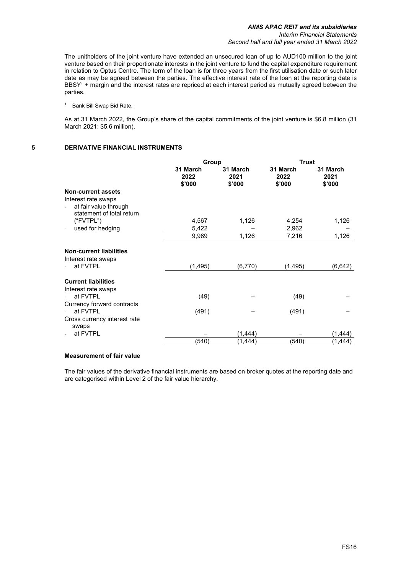The unitholders of the joint venture have extended an unsecured loan of up to AUD100 million to the joint venture based on their proportionate interests in the joint venture to fund the capital expenditure requirement in relation to Optus Centre. The term of the loan is for three years from the first utilisation date or such later date as may be agreed between the parties. The effective interest rate of the loan at the reporting date is BBSY1 + margin and the interest rates are repriced at each interest period as mutually agreed between the parties.

<sup>1</sup> Bank Bill Swap Bid Rate.

As at 31 March 2022, the Group's share of the capital commitments of the joint venture is \$6.8 million (31 March 2021: \$5.6 million).

## **5 DERIVATIVE FINANCIAL INSTRUMENTS**

|                                                                                                        | Group                      |                            | <b>Trust</b>               |                            |
|--------------------------------------------------------------------------------------------------------|----------------------------|----------------------------|----------------------------|----------------------------|
|                                                                                                        | 31 March<br>2022<br>\$'000 | 31 March<br>2021<br>\$'000 | 31 March<br>2022<br>\$'000 | 31 March<br>2021<br>\$'000 |
| <b>Non-current assets</b><br>Interest rate swaps<br>at fair value through<br>statement of total return |                            |                            |                            |                            |
| ("FVTPL")                                                                                              | 4,567                      | 1,126                      | 4,254                      | 1,126                      |
| used for hedging<br>$\overline{a}$                                                                     | 5,422                      |                            | 2,962                      |                            |
|                                                                                                        | 9,989                      | 1,126                      | 7,216                      | 1,126                      |
| <b>Non-current liabilities</b><br>Interest rate swaps<br>at FVTPL                                      | (1,495)                    | (6,770)                    | (1, 495)                   | (6,642)                    |
| <b>Current liabilities</b><br>Interest rate swaps                                                      |                            |                            |                            |                            |
| at FVTPL<br>$\blacksquare$<br>Currency forward contracts                                               | (49)                       |                            | (49)                       |                            |
| at FVTPI<br>$\blacksquare$<br>Cross currency interest rate<br>swaps                                    | (491)                      |                            | (491)                      |                            |
| at FVTPL                                                                                               |                            | (1,444)                    |                            | (1, 444)                   |
|                                                                                                        | (540)                      | (1,444)                    | (540)                      | (1, 444)                   |

### **Measurement of fair value**

The fair values of the derivative financial instruments are based on broker quotes at the reporting date and are categorised within Level 2 of the fair value hierarchy.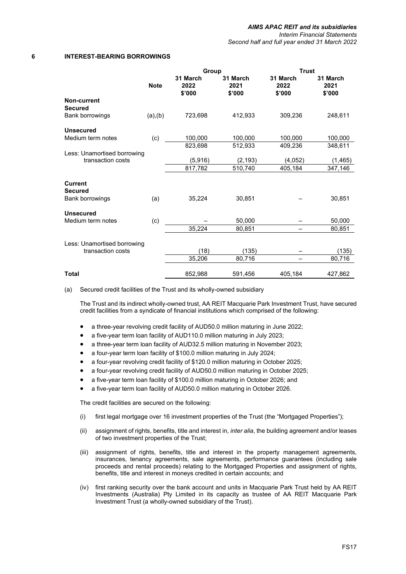#### **6 INTEREST-BEARING BORROWINGS**

|                                                            |             | Group                      |                            | <b>Trust</b>               |                            |
|------------------------------------------------------------|-------------|----------------------------|----------------------------|----------------------------|----------------------------|
|                                                            | <b>Note</b> | 31 March<br>2022<br>\$'000 | 31 March<br>2021<br>\$'000 | 31 March<br>2022<br>\$'000 | 31 March<br>2021<br>\$'000 |
| Non-current<br><b>Secured</b>                              |             |                            |                            |                            |                            |
| <b>Bank borrowings</b>                                     | (a), (b)    | 723,698                    | 412,933                    | 309,236                    | 248,611                    |
| <b>Unsecured</b>                                           |             |                            |                            |                            |                            |
| Medium term notes                                          | (c)         | 100,000                    | 100,000                    | 100,000                    | 100,000                    |
|                                                            |             | 823,698                    | 512,933                    | 409,236                    | 348,611                    |
| Less: Unamortised borrowing                                |             |                            |                            |                            |                            |
| transaction costs                                          |             | (5,916)                    | (2, 193)                   | (4,052)                    | (1, 465)                   |
|                                                            |             | 817,782                    | 510,740                    | 405,184                    | 347,146                    |
| <b>Current</b><br><b>Secured</b><br><b>Bank borrowings</b> | (a)         | 35,224                     | 30,851                     |                            | 30,851                     |
| <b>Unsecured</b>                                           |             |                            |                            |                            |                            |
| Medium term notes                                          | (c)         |                            | 50,000                     |                            | 50,000                     |
|                                                            |             | 35,224                     | 80,851                     |                            | 80,851                     |
| Less: Unamortised borrowing<br>transaction costs           |             | (18)                       | (135)                      |                            | (135)                      |
|                                                            |             | 35,206                     | 80,716                     |                            | 80,716                     |
|                                                            |             |                            |                            |                            |                            |
| <b>Total</b>                                               |             | 852,988                    | 591,456                    | 405,184                    | 427,862                    |

(a) Secured credit facilities of the Trust and its wholly-owned subsidiary

The Trust and its indirect wholly-owned trust, AA REIT Macquarie Park Investment Trust, have secured credit facilities from a syndicate of financial institutions which comprised of the following:

- a three-year revolving credit facility of AUD50.0 million maturing in June 2022;
- a five-year term loan facility of AUD110.0 million maturing in July 2023;
- a three-year term loan facility of AUD32.5 million maturing in November 2023;
- a four-year term loan facility of \$100.0 million maturing in July 2024;
- a four-year revolving credit facility of \$120.0 million maturing in October 2025;
- a four-year revolving credit facility of AUD50.0 million maturing in October 2025;
- a five-year term loan facility of \$100.0 million maturing in October 2026; and
- a five-year term loan facility of AUD50.0 million maturing in October 2026.

The credit facilities are secured on the following:

- (i) first legal mortgage over 16 investment properties of the Trust (the "Mortgaged Properties");
- (ii) assignment of rights, benefits, title and interest in, *inter alia*, the building agreement and/or leases of two investment properties of the Trust;
- (iii) assignment of rights, benefits, title and interest in the property management agreements, insurances, tenancy agreements, sale agreements, performance guarantees (including sale proceeds and rental proceeds) relating to the Mortgaged Properties and assignment of rights, benefits, title and interest in moneys credited in certain accounts; and
- (iv) first ranking security over the bank account and units in Macquarie Park Trust held by AA REIT Investments (Australia) Pty Limited in its capacity as trustee of AA REIT Macquarie Park Investment Trust (a wholly-owned subsidiary of the Trust).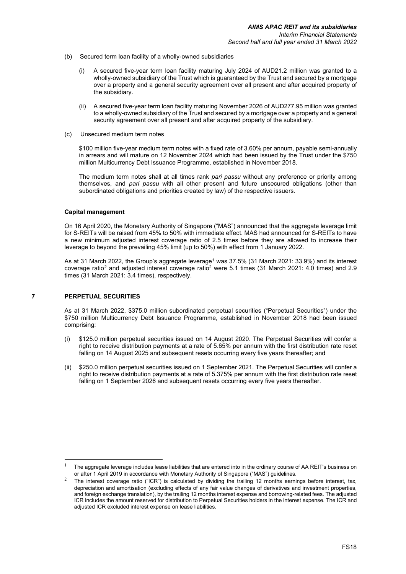- (b) Secured term loan facility of a wholly-owned subsidiaries
	- (i) A secured five-year term loan facility maturing July 2024 of AUD21.2 million was granted to a wholly-owned subsidiary of the Trust which is guaranteed by the Trust and secured by a mortgage over a property and a general security agreement over all present and after acquired property of the subsidiary.
	- (ii) A secured five-year term loan facility maturing November 2026 of AUD277.95 million was granted to a wholly-owned subsidiary of the Trust and secured by a mortgage over a property and a general security agreement over all present and after acquired property of the subsidiary.
- (c) Unsecured medium term notes

\$100 million five-year medium term notes with a fixed rate of 3.60% per annum, payable semi-annually in arrears and will mature on 12 November 2024 which had been issued by the Trust under the \$750 million Multicurrency Debt Issuance Programme, established in November 2018.

The medium term notes shall at all times rank *pari passu* without any preference or priority among themselves, and *pari passu* with all other present and future unsecured obligations (other than subordinated obligations and priorities created by law) of the respective issuers.

#### **Capital management**

On 16 April 2020, the Monetary Authority of Singapore ("MAS") announced that the aggregate leverage limit for S-REITs will be raised from 45% to 50% with immediate effect. MAS had announced for S-REITs to have a new minimum adjusted interest coverage ratio of 2.5 times before they are allowed to increase their leverage to beyond the prevailing 45% limit (up to 50%) with effect from 1 January 2022.

As at 31 March 2022, the Group's aggregate leverage<sup>1</sup> was 37.5% (31 March 2021: 33.9%) and its interest coverage ratio[2](#page-18-1) and adjusted interest coverage ratio2 were 5.1 times (31 March 2021: 4.0 times) and 2.9 times (31 March 2021: 3.4 times), respectively.

#### **7 PERPETUAL SECURITIES**

As at 31 March 2022, \$375.0 million subordinated perpetual securities ("Perpetual Securities") under the \$750 million Multicurrency Debt Issuance Programme, established in November 2018 had been issued comprising:

- (i) \$125.0 million perpetual securities issued on 14 August 2020. The Perpetual Securities will confer a right to receive distribution payments at a rate of 5.65% per annum with the first distribution rate reset falling on 14 August 2025 and subsequent resets occurring every five years thereafter; and
- (ii) \$250.0 million perpetual securities issued on 1 September 2021. The Perpetual Securities will confer a right to receive distribution payments at a rate of 5.375% per annum with the first distribution rate reset falling on 1 September 2026 and subsequent resets occurring every five years thereafter.

<span id="page-18-0"></span>The aggregate leverage includes lease liabilities that are entered into in the ordinary course of AA REIT's business on or after 1 April 2019 in accordance with Monetary Authority of Singapore ("MAS") guidelines.

<span id="page-18-1"></span><sup>2</sup> The interest coverage ratio ("ICR") is calculated by dividing the trailing 12 months earnings before interest, tax, depreciation and amortisation (excluding effects of any fair value changes of derivatives and investment properties, and foreign exchange translation), by the trailing 12 months interest expense and borrowing-related fees. The adjusted ICR includes the amount reserved for distribution to Perpetual Securities holders in the interest expense. The ICR and adjusted ICR excluded interest expense on lease liabilities.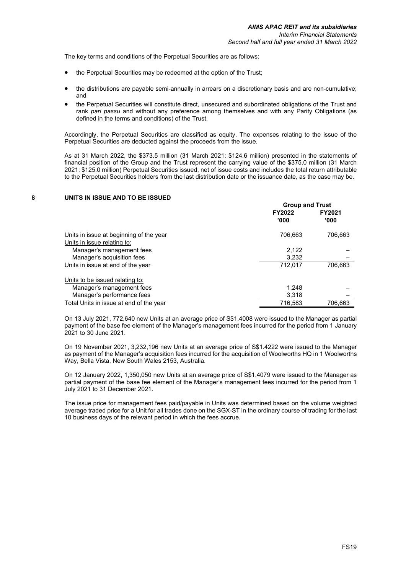The key terms and conditions of the Perpetual Securities are as follows:

- the Perpetual Securities may be redeemed at the option of the Trust;
- the distributions are payable semi-annually in arrears on a discretionary basis and are non-cumulative; and
- the Perpetual Securities will constitute direct, unsecured and subordinated obligations of the Trust and rank *pari passu* and without any preference among themselves and with any Parity Obligations (as defined in the terms and conditions) of the Trust.

Accordingly, the Perpetual Securities are classified as equity. The expenses relating to the issue of the Perpetual Securities are deducted against the proceeds from the issue.

As at 31 March 2022, the \$373.5 million (31 March 2021: \$124.6 million) presented in the statements of financial position of the Group and the Trust represent the carrying value of the \$375.0 million (31 March 2021: \$125.0 million) Perpetual Securities issued, net of issue costs and includes the total return attributable to the Perpetual Securities holders from the last distribution date or the issuance date, as the case may be.

#### **8 UNITS IN ISSUE AND TO BE ISSUED**

|                                         | <b>Group and Trust</b> |                       |  |
|-----------------------------------------|------------------------|-----------------------|--|
|                                         | FY2022<br>'000         | <b>FY2021</b><br>'000 |  |
| Units in issue at beginning of the year | 706.663                | 706,663               |  |
| Units in issue relating to:             |                        |                       |  |
| Manager's management fees               | 2.122                  |                       |  |
| Manager's acquisition fees              | 3.232                  |                       |  |
| Units in issue at end of the year       | 712,017                | 706.663               |  |
| Units to be issued relating to:         |                        |                       |  |
| Manager's management fees               | 1.248                  |                       |  |
| Manager's performance fees              | 3.318                  |                       |  |
| Total Units in issue at end of the year | 716,583                | 706.663               |  |

On 13 July 2021, 772,640 new Units at an average price of S\$1.4008 were issued to the Manager as partial payment of the base fee element of the Manager's management fees incurred for the period from 1 January 2021 to 30 June 2021.

On 19 November 2021, 3,232,196 new Units at an average price of S\$1.4222 were issued to the Manager as payment of the Manager's acquisition fees incurred for the acquisition of Woolworths HQ in 1 Woolworths Way, Bella Vista, New South Wales 2153, Australia.

On 12 January 2022, 1,350,050 new Units at an average price of S\$1.4079 were issued to the Manager as partial payment of the base fee element of the Manager's management fees incurred for the period from 1 July 2021 to 31 December 2021.

The issue price for management fees paid/payable in Units was determined based on the volume weighted average traded price for a Unit for all trades done on the SGX-ST in the ordinary course of trading for the last 10 business days of the relevant period in which the fees accrue.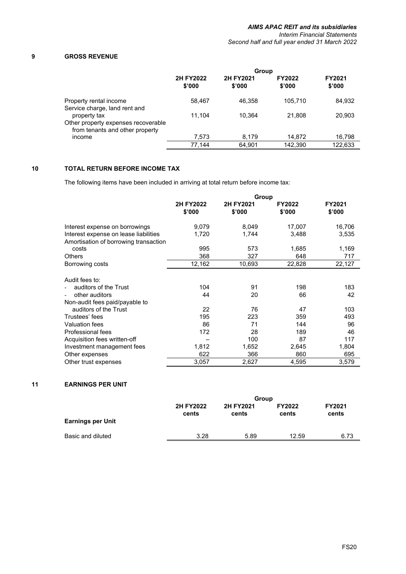## **9 GROSS REVENUE**

|                                                                        | <b>Group</b>        |                     |                  |                  |  |
|------------------------------------------------------------------------|---------------------|---------------------|------------------|------------------|--|
|                                                                        | 2H FY2022<br>\$'000 | 2H FY2021<br>\$'000 | FY2022<br>\$'000 | FY2021<br>\$'000 |  |
| Property rental income<br>Service charge, land rent and                | 58.467              | 46.358              | 105,710          | 84,932           |  |
| property tax                                                           | 11.104              | 10.364              | 21,808           | 20,903           |  |
| Other property expenses recoverable<br>from tenants and other property |                     |                     |                  |                  |  |
| income                                                                 | 7,573               | 8,179               | 14,872           | 16,798           |  |
|                                                                        | 77.144              | 64,901              | 142.390          | 122.633          |  |

## **10 TOTAL RETURN BEFORE INCOME TAX**

The following items have been included in arriving at total return before income tax:

|                                                           | Group               |                     |                  |                  |  |
|-----------------------------------------------------------|---------------------|---------------------|------------------|------------------|--|
|                                                           | 2H FY2022<br>\$'000 | 2H FY2021<br>\$'000 | FY2022<br>\$'000 | FY2021<br>\$'000 |  |
| Interest expense on borrowings                            | 9,079               | 8,049               | 17,007           | 16,706           |  |
| Interest expense on lease liabilities                     | 1,720               | 1,744               | 3,488            | 3,535            |  |
| Amortisation of borrowing transaction                     |                     |                     |                  |                  |  |
| costs                                                     | 995                 | 573                 | 1,685            | 1,169            |  |
| <b>Others</b>                                             | 368                 | 327                 | 648              | 717              |  |
| Borrowing costs                                           | 12,162              | 10,693              | 22,828           | 22,127           |  |
| Audit fees to:<br>auditors of the Trust<br>other auditors | 104<br>44           | 91<br>20            | 198<br>66        | 183<br>42        |  |
| Non-audit fees paid/payable to                            |                     |                     |                  |                  |  |
| auditors of the Trust                                     | 22                  | 76                  | 47               | 103              |  |
| Trustees' fees                                            | 195                 | 223                 | 359              | 493              |  |
| Valuation fees                                            | 86                  | 71                  | 144              | 96               |  |
| Professional fees                                         | 172                 | 28                  | 189              | 46               |  |
| Acquisition fees written-off                              |                     | 100                 | 87               | 117              |  |
| Investment management fees                                | 1,812               | 1,652               | 2,645            | 1,804            |  |
| Other expenses                                            | 622                 | 366                 | 860              | 695              |  |
| Other trust expenses                                      | 3,057               | 2,627               | 4,595            | 3,579            |  |

## **11 EARNINGS PER UNIT**

|                          | Group              |                    |                 |                        |  |
|--------------------------|--------------------|--------------------|-----------------|------------------------|--|
|                          | 2H FY2022<br>cents | 2H FY2021<br>cents | FY2022<br>cents | <b>FY2021</b><br>cents |  |
| <b>Earnings per Unit</b> |                    |                    |                 |                        |  |
| Basic and diluted        | 3.28               | 5.89               | 12.59           | 6.73                   |  |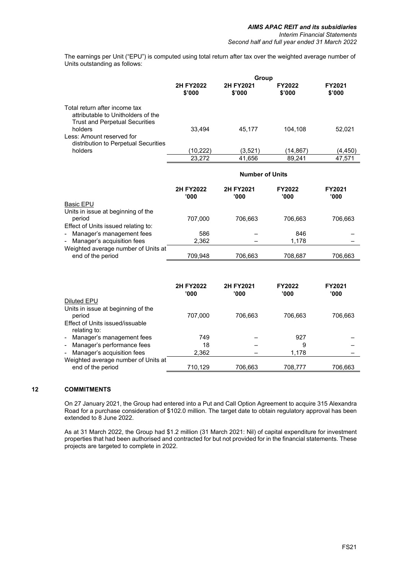The earnings per Unit ("EPU") is computed using total return after tax over the weighted average number of Units outstanding as follows:

|                                                                                                              | Group                  |                     |                  |                  |  |
|--------------------------------------------------------------------------------------------------------------|------------------------|---------------------|------------------|------------------|--|
|                                                                                                              | 2H FY2022<br>\$'000    | 2H FY2021<br>\$'000 | FY2022<br>\$'000 | FY2021<br>\$'000 |  |
| Total return after income tax<br>attributable to Unitholders of the<br><b>Trust and Perpetual Securities</b> |                        |                     |                  |                  |  |
| holders                                                                                                      | 33,494                 | 45,177              | 104,108          | 52,021           |  |
| Less: Amount reserved for<br>distribution to Perpetual Securities                                            |                        |                     |                  |                  |  |
| holders                                                                                                      | (10, 222)              | (3,521)             | (14,867)         | (4,450)          |  |
|                                                                                                              | 23,272                 | 41,656              | 89,241           | 47,571           |  |
|                                                                                                              | <b>Number of Units</b> |                     |                  |                  |  |
|                                                                                                              |                        |                     |                  |                  |  |
|                                                                                                              | 2H FY2022<br>'000      | 2H FY2021<br>'000'  | FY2022<br>'000'  | FY2021<br>'000   |  |
| <b>Basic EPU</b>                                                                                             |                        |                     |                  |                  |  |
| Units in issue at beginning of the                                                                           |                        |                     |                  |                  |  |
| period                                                                                                       | 707,000                | 706,663             | 706,663          | 706,663          |  |
| Effect of Units issued relating to:                                                                          |                        |                     |                  |                  |  |
| Manager's management fees<br>$\overline{\phantom{0}}$                                                        | 586                    |                     | 846              |                  |  |
| Manager's acquisition fees                                                                                   | 2,362                  |                     | 1,178            |                  |  |
| Weighted average number of Units at                                                                          |                        |                     |                  |                  |  |

|                                                 | 2H FY2022<br>'000 | 2H FY2021<br>'000 | <b>FY2022</b><br>'000 | <b>FY2021</b><br>'000 |
|-------------------------------------------------|-------------------|-------------------|-----------------------|-----------------------|
| Diluted EPU                                     |                   |                   |                       |                       |
| Units in issue at beginning of the              |                   |                   |                       |                       |
| period                                          | 707,000           | 706,663           | 706.663               | 706.663               |
| Effect of Units issued/issuable<br>relating to: |                   |                   |                       |                       |
| - Manager's management fees                     | 749               |                   | 927                   |                       |
| - Manager's performance fees                    | 18                |                   | 9                     |                       |
| - Manager's acquisition fees                    | 2,362             |                   | 1.178                 |                       |
| Weighted average number of Units at             |                   |                   |                       |                       |
| end of the period                               | 710,129           | 706,663           | 708,777               | 706,663               |

## **12 COMMITMENTS**

On 27 January 2021, the Group had entered into a Put and Call Option Agreement to acquire 315 Alexandra Road for a purchase consideration of \$102.0 million. The target date to obtain regulatory approval has been extended to 8 June 2022.

As at 31 March 2022, the Group had \$1.2 million (31 March 2021: Nil) of capital expenditure for investment properties that had been authorised and contracted for but not provided for in the financial statements. These projects are targeted to complete in 2022.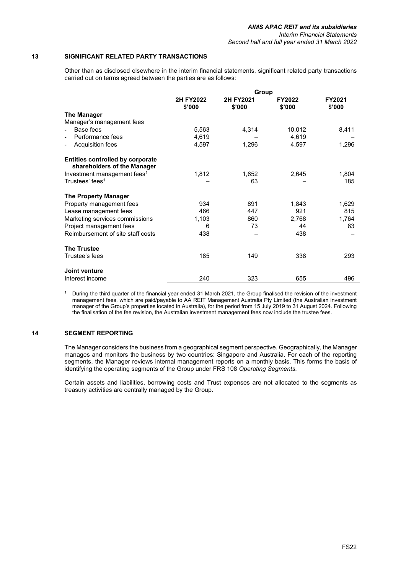## **13 SIGNIFICANT RELATED PARTY TRANSACTIONS**

Other than as disclosed elsewhere in the interim financial statements, significant related party transactions carried out on terms agreed between the parties are as follows:

|                                                                        |                     | Group               |                  |                         |
|------------------------------------------------------------------------|---------------------|---------------------|------------------|-------------------------|
|                                                                        | 2H FY2022<br>\$'000 | 2H FY2021<br>\$'000 | FY2022<br>\$'000 | <b>FY2021</b><br>\$'000 |
| The Manager                                                            |                     |                     |                  |                         |
| Manager's management fees                                              |                     |                     |                  |                         |
| Base fees<br>L,                                                        | 5,563               | 4,314               | 10,012           | 8,411                   |
| Performance fees<br>$\overline{\phantom{a}}$                           | 4,619               |                     | 4,619            |                         |
| Acquisition fees                                                       | 4,597               | 1,296               | 4,597            | 1,296                   |
| <b>Entities controlled by corporate</b><br>shareholders of the Manager |                     |                     |                  |                         |
| Investment management fees <sup>1</sup>                                | 1,812               | 1,652               | 2,645            | 1,804                   |
| Trustees' fees <sup>1</sup>                                            |                     | 63                  |                  | 185                     |
| <b>The Property Manager</b>                                            |                     |                     |                  |                         |
| Property management fees                                               | 934                 | 891                 | 1,843            | 1,629                   |
| Lease management fees                                                  | 466                 | 447                 | 921              | 815                     |
| Marketing services commissions                                         | 1,103               | 860                 | 2,768            | 1,764                   |
| Project management fees                                                | 6                   | 73                  | 44               | 83                      |
| Reimbursement of site staff costs                                      | 438                 |                     | 438              |                         |
| <b>The Trustee</b>                                                     |                     |                     |                  |                         |
| Trustee's fees                                                         | 185                 | 149                 | 338              | 293                     |
| Joint venture                                                          |                     |                     |                  |                         |
| Interest income                                                        | 240                 | 323                 | 655              | 496                     |

<sup>1</sup> During the third quarter of the financial year ended 31 March 2021, the Group finalised the revision of the investment management fees, which are paid/payable to AA REIT Management Australia Pty Limited (the Australian investment manager of the Group's properties located in Australia), for the period from 15 July 2019 to 31 August 2024. Following the finalisation of the fee revision, the Australian investment management fees now include the trustee fees.

## **14 SEGMENT REPORTING**

The Manager considers the business from a geographical segment perspective. Geographically, the Manager manages and monitors the business by two countries: Singapore and Australia. For each of the reporting segments, the Manager reviews internal management reports on a monthly basis. This forms the basis of identifying the operating segments of the Group under FRS 108 *Operating Segments*.

Certain assets and liabilities, borrowing costs and Trust expenses are not allocated to the segments as treasury activities are centrally managed by the Group.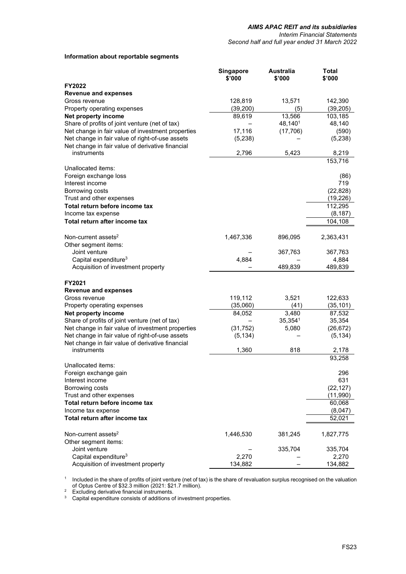*Interim Financial Statements Second half and full year ended 31 March 2022*

## **Information about reportable segments**

|                                                   | <b>Singapore</b><br>\$'000 | Australia<br>\$'000 | Total<br>\$'000 |
|---------------------------------------------------|----------------------------|---------------------|-----------------|
| FY2022                                            |                            |                     |                 |
| <b>Revenue and expenses</b>                       |                            |                     |                 |
| Gross revenue                                     | 128,819                    | 13,571              | 142,390         |
| Property operating expenses                       | (39, 200)                  | (5)                 | (39, 205)       |
| Net property income                               | 89,619                     | 13,566              | 103,185         |
| Share of profits of joint venture (net of tax)    |                            | 48,1401             | 48,140          |
| Net change in fair value of investment properties | 17,116                     | (17,706)            | (590)           |
| Net change in fair value of right-of-use assets   | (5,238)                    |                     | (5,238)         |
| Net change in fair value of derivative financial  |                            |                     |                 |
| instruments                                       | 2,796                      | 5,423               | 8,219           |
|                                                   |                            |                     | 153,716         |
| Unallocated items:                                |                            |                     |                 |
| Foreign exchange loss                             |                            |                     | (86)            |
| Interest income                                   |                            |                     | 719             |
| Borrowing costs                                   |                            |                     | (22, 828)       |
| Trust and other expenses                          |                            |                     | (19, 226)       |
| Total return before income tax                    |                            |                     | 112,295         |
| Income tax expense                                |                            |                     | (8, 187)        |
| Total return after income tax                     |                            |                     | 104,108         |
| Non-current assets <sup>2</sup>                   | 1,467,336                  | 896,095             | 2,363,431       |
| Other segment items:                              |                            |                     |                 |
| Joint venture                                     |                            | 367,763             | 367,763         |
| Capital expenditure <sup>3</sup>                  | 4,884                      |                     | 4,884           |
| Acquisition of investment property                |                            | 489,839             | 489,839         |
| FY2021                                            |                            |                     |                 |
| <b>Revenue and expenses</b>                       |                            |                     |                 |
| Gross revenue                                     | 119,112                    | 3,521               | 122,633         |
| Property operating expenses                       | (35,060)                   | (41)                | (35, 101)       |
| Net property income                               | 84,052                     | 3,480               | 87,532          |
| Share of profits of joint venture (net of tax)    |                            | 35,3541             | 35,354          |
| Net change in fair value of investment properties | (31, 752)                  | 5,080               | (26, 672)       |
| Net change in fair value of right-of-use assets   | (5, 134)                   |                     | (5, 134)        |
| Net change in fair value of derivative financial  |                            |                     |                 |
| instruments                                       | 1,360                      | 818                 | 2,178           |
| Unallocated items:                                |                            |                     | 93,258          |
| Foreign exchange gain                             |                            |                     | 296             |
| Interest income                                   |                            |                     | 631             |
| Borrowing costs                                   |                            |                     | (22, 127)       |
| Trust and other expenses                          |                            |                     | (11, 990)       |
| Total return before income tax                    |                            |                     | 60,068          |
| Income tax expense                                |                            |                     | (8,047)         |
| Total return after income tax                     |                            |                     | 52,021          |
| Non-current assets <sup>2</sup>                   | 1,446,530                  | 381,245             | 1,827,775       |
| Other segment items:                              |                            |                     |                 |
| Joint venture                                     |                            | 335,704             | 335,704         |
| Capital expenditure <sup>3</sup>                  | 2,270                      |                     | 2,270           |
| Acquisition of investment property                | 134,882                    |                     | 134,882         |

 $^{\rm 1}$  Included in the share of profits of joint venture (net of tax) is the share of revaluation surplus recognised on the valuation of Optus Centre of \$32.3 million (2021: \$21.7 million).

<sup>2</sup> Excluding derivative financial instruments.<br><sup>3</sup> Capital expenditure consists of additions of

<sup>3</sup> Capital expenditure consists of additions of investment properties.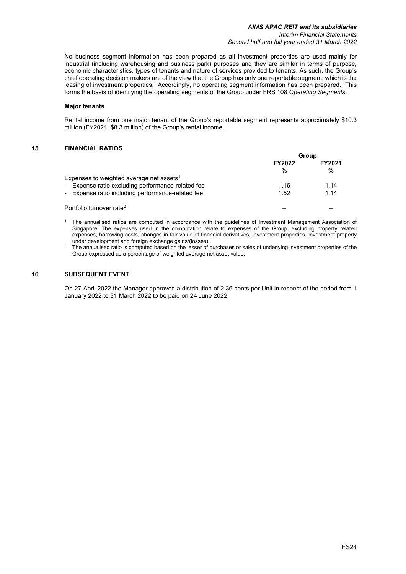No business segment information has been prepared as all investment properties are used mainly for industrial (including warehousing and business park) purposes and they are similar in terms of purpose, economic characteristics, types of tenants and nature of services provided to tenants. As such, the Group's chief operating decision makers are of the view that the Group has only one reportable segment, which is the leasing of investment properties. Accordingly, no operating segment information has been prepared. This forms the basis of identifying the operating segments of the Group under FRS 108 *Operating Segments*.

#### **Major tenants**

Rental income from one major tenant of the Group's reportable segment represents approximately \$10.3 million (FY2021: \$8.3 million) of the Group's rental income.

## **15 FINANCIAL RATIOS**

|                                                      | Group              |                    |
|------------------------------------------------------|--------------------|--------------------|
|                                                      | <b>FY2022</b><br>% | <b>FY2021</b><br>% |
| Expenses to weighted average net assets <sup>1</sup> |                    |                    |
| - Expense ratio excluding performance-related fee    | 1.16               | 1.14               |
| - Expense ratio including performance-related fee    | 1.52               | 1.14               |
| Portfolio turnover rate <sup>2</sup>                 |                    |                    |

<sup>1</sup> The annualised ratios are computed in accordance with the guidelines of Investment Management Association of Singapore. The expenses used in the computation relate to expenses of the Group, excluding property related expenses, borrowing costs, changes in fair value of financial derivatives, investment properties, investment property under development and foreign exchange gains/(losses).

<sup>2</sup> The annualised ratio is computed based on the lesser of purchases or sales of underlying investment properties of the Group expressed as a percentage of weighted average net asset value.

#### **16 SUBSEQUENT EVENT**

On 27 April 2022 the Manager approved a distribution of 2.36 cents per Unit in respect of the period from 1 January 2022 to 31 March 2022 to be paid on 24 June 2022.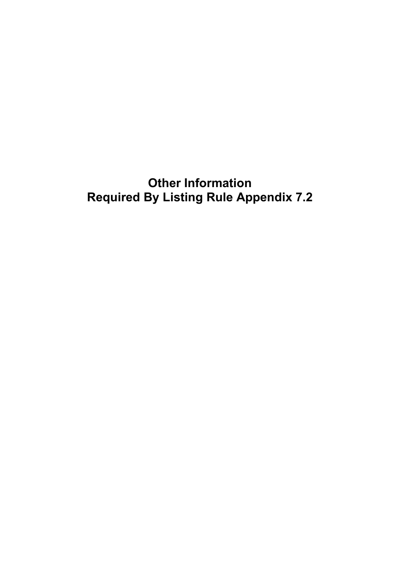**Other Information Required By Listing Rule Appendix 7.2**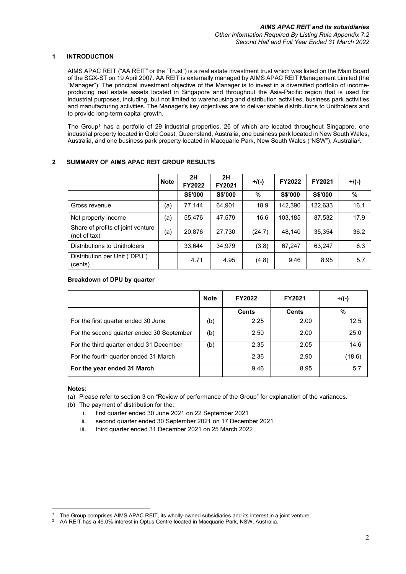## **1 INTRODUCTION**

AIMS APAC REIT ("AA REIT" or the "Trust") is a real estate investment trust which was listed on the Main Board of the SGX-ST on 19 April 2007. AA REIT is externally managed by AIMS APAC REIT Management Limited (the "Manager"). The principal investment objective of the Manager is to invest in a diversified portfolio of incomeproducing real estate assets located in Singapore and throughout the Asia-Pacific region that is used for industrial purposes, including, but not limited to warehousing and distribution activities, business park activities and manufacturing activities. The Manager's key objectives are to deliver stable distributions to Unitholders and to provide long-term capital growth.

The Group<sup>[1](#page-26-0)</sup> has a portfolio of 29 industrial properties, 26 of which are located throughout Singapore, one industrial property located in Gold Coast, Queensland, Australia, one business park located in New South Wales, Australia, and one business park property located in Macquarie Park, New South Wales ("NSW"), Australi[a2.](#page-26-1)

## **2 SUMMARY OF AIMS APAC REIT GROUP RESULTS**

|                                                   | <b>Note</b> | 2H<br>FY2022 | 2H<br>FY2021 | $+/(-)$ | <b>FY2022</b>  | FY2021  | $+$ /(-) |
|---------------------------------------------------|-------------|--------------|--------------|---------|----------------|---------|----------|
|                                                   |             | S\$'000      | S\$'000      | %       | <b>S\$'000</b> | S\$'000 | %        |
| Gross revenue                                     | (a)         | 77,144       | 64.901       | 18.9    | 142,390        | 122,633 | 16.1     |
| Net property income                               | (a)         | 55,476       | 47.579       | 16.6    | 103,185        | 87,532  | 17.9     |
| Share of profits of joint venture<br>(net of tax) | (a)         | 20.876       | 27.730       | (24.7)  | 48.140         | 35.354  | 36.2     |
| Distributions to Unitholders                      |             | 33,644       | 34.979       | (3.8)   | 67,247         | 63,247  | 6.3      |
| Distribution per Unit ("DPU")<br>(cents)          |             | 4.71         | 4.95         | (4.8)   | 9.46           | 8.95    | 5.7      |

## **Breakdown of DPU by quarter**

|                                           | <b>Note</b> | FY2022       | <b>FY2021</b> | $+$ /(-) |
|-------------------------------------------|-------------|--------------|---------------|----------|
|                                           |             | <b>Cents</b> | <b>Cents</b>  | %        |
| For the first quarter ended 30 June       | (b)         | 2.25         | 2.00          | 12.5     |
| For the second quarter ended 30 September | (b)         | 2.50         | 2.00          | 25.0     |
| For the third quarter ended 31 December   | (b)         | 2.35         | 2.05          | 14.6     |
| For the fourth quarter ended 31 March     |             | 2.36         | 2.90          | (18.6)   |
| For the year ended 31 March               |             | 9.46         | 8.95          | 5.7      |

## **Notes:**

- (a) Please refer to section 3 on "Review of performance of the Group" for explanation of the variances.
- (b) The payment of distribution for the:
	- i. first quarter ended 30 June 2021 on 22 September 2021
	- ii. second quarter ended 30 September 2021 on 17 December 2021
	- iii. third quarter ended 31 December 2021 on 25 March 2022

<span id="page-26-1"></span><span id="page-26-0"></span><sup>&</sup>lt;sup>1</sup> The Group comprises AIMS APAC REIT, its wholly-owned subsidiaries and its interest in a joint venture.<br><sup>2</sup> AA REIT has a 49.0% interest in Optus Centre located in Macquarie Park, NSW, Australia.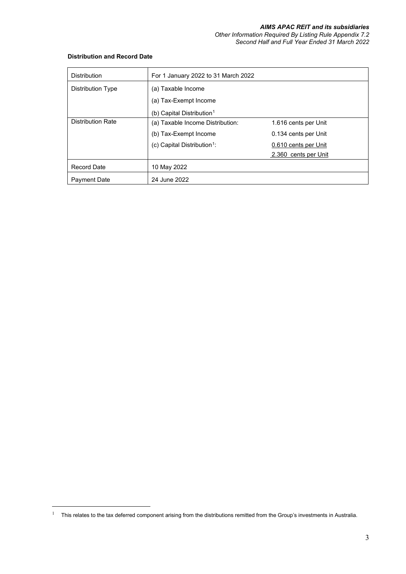## *AIMS APAC REIT and its subsidiaries*

*Other Information Required By Listing Rule Appendix 7.2 Second Half and Full Year Ended 31 March 2022*

## **Distribution and Record Date**

| <b>Distribution</b>      | For 1 January 2022 to 31 March 2022     |                      |  |
|--------------------------|-----------------------------------------|----------------------|--|
| Distribution Type        | (a) Taxable Income                      |                      |  |
|                          | (a) Tax-Exempt Income                   |                      |  |
|                          | (b) Capital Distribution <sup>1</sup>   |                      |  |
| <b>Distribution Rate</b> | (a) Taxable Income Distribution:        | 1.616 cents per Unit |  |
|                          | (b) Tax-Exempt Income                   | 0.134 cents per Unit |  |
|                          | (c) Capital Distribution <sup>1</sup> : | 0.610 cents per Unit |  |
|                          |                                         | 2.360 cents per Unit |  |
| <b>Record Date</b>       | 10 May 2022                             |                      |  |
| <b>Payment Date</b>      | 24 June 2022                            |                      |  |

<span id="page-27-1"></span><span id="page-27-0"></span><sup>1</sup> This relates to the tax deferred component arising from the distributions remitted from the Group's investments in Australia.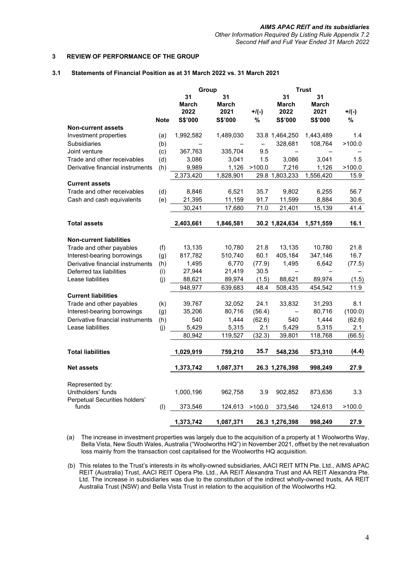## **3 REVIEW OF PERFORMANCE OF THE GROUP**

#### **3.1 Statements of Financial Position as at 31 March 2022 vs. 31 March 2021**

|                                                                        |             | Group                                 |                                |                          | <b>Trust</b>                   |                                       |                  |  |
|------------------------------------------------------------------------|-------------|---------------------------------------|--------------------------------|--------------------------|--------------------------------|---------------------------------------|------------------|--|
|                                                                        | <b>Note</b> | 31<br><b>March</b><br>2022<br>S\$'000 | 31<br>March<br>2021<br>S\$'000 | $+$ /(-)<br>$\%$         | 31<br>March<br>2022<br>S\$'000 | 31<br><b>March</b><br>2021<br>S\$'000 | $+$ /(-)<br>$\%$ |  |
| <b>Non-current assets</b>                                              |             |                                       |                                |                          |                                |                                       |                  |  |
| Investment properties                                                  | (a)         | 1,992,582                             | 1,489,030                      |                          | 33.8 1,464,250                 | 1,443,489                             | 1.4              |  |
| <b>Subsidiaries</b>                                                    | (b)         |                                       |                                | $\overline{\phantom{0}}$ | 328,681                        | 108,764                               | >100.0           |  |
| Joint venture                                                          | (c)         | 367,763                               | 335,704                        | 9.5                      | $\overline{\phantom{0}}$       |                                       |                  |  |
| Trade and other receivables                                            | (d)         | 3,086                                 | 3,041                          | 1.5                      | 3,086                          | 3,041                                 | 1.5              |  |
| Derivative financial instruments                                       | (h)         | 9,989                                 | 1,126                          | >100.0                   | 7,216                          | 1,126                                 | >100.0           |  |
|                                                                        |             | 2,373,420                             | 1,828,901                      |                          | 29.8 1,803,233                 | 1,556,420                             | 15.9             |  |
| <b>Current assets</b>                                                  |             |                                       |                                |                          |                                |                                       |                  |  |
| Trade and other receivables                                            | (d)         | 8,846                                 | 6,521                          | 35.7                     | 9,802                          | 6,255                                 | 56.7             |  |
| Cash and cash equivalents                                              | (e)         | 21,395                                | 11,159                         | 91.7                     | 11,599                         | 8,884                                 | 30.6             |  |
|                                                                        |             | 30,241                                | 17,680                         | 71.0                     | 21,401                         | 15.139                                | 41.4             |  |
| <b>Total assets</b>                                                    |             | 2,403,661                             | 1,846,581                      |                          | 30.2 1,824,634                 | 1,571,559                             | 16.1             |  |
|                                                                        |             |                                       |                                |                          |                                |                                       |                  |  |
| <b>Non-current liabilities</b>                                         |             |                                       |                                |                          |                                |                                       |                  |  |
| Trade and other payables                                               | (f)         | 13,135                                | 10,780                         | 21.8                     | 13,135                         | 10,780                                | 21.8             |  |
| Interest-bearing borrowings                                            | (g)         | 817,782                               | 510,740                        | 60.1                     | 405,184                        | 347,146                               | 16.7             |  |
| Derivative financial instruments                                       | (h)         | 1,495                                 | 6,770                          | (77.9)                   | 1,495                          | 6,642                                 | (77.5)           |  |
| Deferred tax liabilities                                               | (i)         | 27,944                                | 21,419                         | 30.5                     |                                |                                       |                  |  |
| Lease liabilities                                                      | (j)         | 88,621                                | 89,974                         | (1.5)                    | 88,621                         | 89,974                                | (1.5)            |  |
|                                                                        |             | 948,977                               | 639,683                        | 48.4                     | 508,435                        | 454,542                               | 11.9             |  |
| <b>Current liabilities</b>                                             |             |                                       |                                |                          |                                |                                       |                  |  |
| Trade and other payables                                               | (k)         | 39,767                                | 32,052                         | 24.1                     | 33,832                         | 31,293                                | 8.1              |  |
| Interest-bearing borrowings                                            | (g)         | 35,206                                | 80,716                         | (56.4)                   | $\overline{\phantom{0}}$       | 80,716                                | (100.0)          |  |
| Derivative financial instruments                                       | (h)         | 540                                   | 1,444                          | (62.6)                   | 540                            | 1,444                                 | (62.6)           |  |
| Lease liabilities                                                      | (j)         | 5,429                                 | 5,315                          | 2.1                      | 5,429                          | 5,315                                 | 2.1              |  |
|                                                                        |             | 80,942                                | 119,527                        | (32.3)                   | 39,801                         | 118,768                               | (66.5)           |  |
| <b>Total liabilities</b>                                               |             | 1,029,919                             | 759,210                        | 35.7                     | 548,236                        | 573,310                               | (4.4)            |  |
|                                                                        |             |                                       |                                |                          |                                |                                       |                  |  |
| <b>Net assets</b>                                                      |             | 1,373,742                             | 1,087,371                      |                          | 26.3 1,276,398                 | 998,249                               | 27.9             |  |
| Represented by:<br>Unitholders' funds<br>Perpetual Securities holders' |             | 1,000,196                             | 962,758                        | 3.9                      | 902,852                        | 873,636                               | 3.3              |  |
| funds                                                                  | (1)         | 373,546                               | 124,613                        | >100.0                   | 373,546                        | 124,613                               | >100.0           |  |
|                                                                        |             | 1,373,742                             | 1,087,371                      |                          | 26.3 1,276,398                 | 998,249                               | 27.9             |  |

(a) The increase in investment properties was largely due to the acquisition of a property at 1 Woolworths Way, Bella Vista, New South Wales, Australia ("Woolworths HQ") in November 2021, offset by the net revaluation loss mainly from the transaction cost capitalised for the Woolworths HQ acquisition.

(b) This relates to the Trust's interests in its wholly-owned subsidiaries, AACI REIT MTN Pte. Ltd., AIMS APAC REIT (Australia) Trust, AACI REIT Opera Pte. Ltd., AA REIT Alexandra Trust and AA REIT Alexandra Pte. Ltd. The increase in subsidiaries was due to the constitution of the indirect wholly-owned trusts, AA REIT Australia Trust (NSW) and Bella Vista Trust in relation to the acquisition of the Woolworths HQ.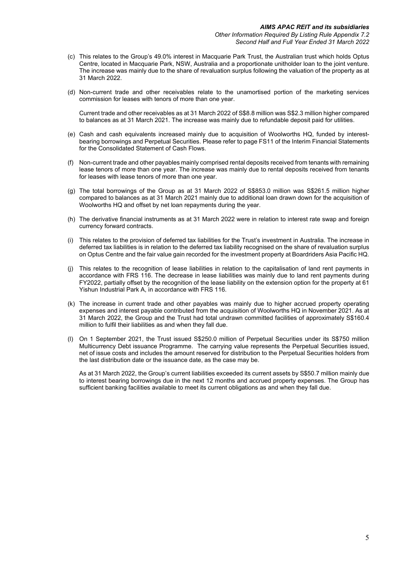### *Other Information Required By Listing Rule Appendix 7.2 Second Half and Full Year Ended 31 March 2022*

- (c) This relates to the Group's 49.0% interest in Macquarie Park Trust, the Australian trust which holds Optus Centre, located in Macquarie Park, NSW, Australia and a proportionate unitholder loan to the joint venture. The increase was mainly due to the share of revaluation surplus following the valuation of the property as at 31 March 2022.
- (d) Non-current trade and other receivables relate to the unamortised portion of the marketing services commission for leases with tenors of more than one year.

Current trade and other receivables as at 31 March 2022 of S\$8.8 million was S\$2.3 million higher compared to balances as at 31 March 2021. The increase was mainly due to refundable deposit paid for utilities.

- (e) Cash and cash equivalents increased mainly due to acquisition of Woolworths HQ, funded by interestbearing borrowings and Perpetual Securities. Please refer to page FS11 of the Interim Financial Statements for the Consolidated Statement of Cash Flows.
- (f) Non-current trade and other payables mainly comprised rental deposits received from tenants with remaining lease tenors of more than one year. The increase was mainly due to rental deposits received from tenants for leases with lease tenors of more than one year.
- (g) The total borrowings of the Group as at 31 March 2022 of S\$853.0 million was S\$261.5 million higher compared to balances as at 31 March 2021 mainly due to additional loan drawn down for the acquisition of Woolworths HQ and offset by net loan repayments during the year.
- (h) The derivative financial instruments as at 31 March 2022 were in relation to interest rate swap and foreign currency forward contracts.
- (i) This relates to the provision of deferred tax liabilities for the Trust's investment in Australia. The increase in deferred tax liabilities is in relation to the deferred tax liability recognised on the share of revaluation surplus on Optus Centre and the fair value gain recorded for the investment property at Boardriders Asia Pacific HQ.
- (j) This relates to the recognition of lease liabilities in relation to the capitalisation of land rent payments in accordance with FRS 116. The decrease in lease liabilities was mainly due to land rent payments during FY2022, partially offset by the recognition of the lease liability on the extension option for the property at 61 Yishun Industrial Park A, in accordance with FRS 116.
- (k) The increase in current trade and other payables was mainly due to higher accrued property operating expenses and interest payable contributed from the acquisition of Woolworths HQ in November 2021. As at 31 March 2022, the Group and the Trust had total undrawn committed facilities of approximately S\$160.4 million to fulfil their liabilities as and when they fall due.
- (l) On 1 September 2021, the Trust issued S\$250.0 million of Perpetual Securities under its S\$750 million Multicurrency Debt issuance Programme. The carrying value represents the Perpetual Securities issued, net of issue costs and includes the amount reserved for distribution to the Perpetual Securities holders from the last distribution date or the issuance date, as the case may be.

As at 31 March 2022, the Group's current liabilities exceeded its current assets by S\$50.7 million mainly due to interest bearing borrowings due in the next 12 months and accrued property expenses. The Group has sufficient banking facilities available to meet its current obligations as and when they fall due.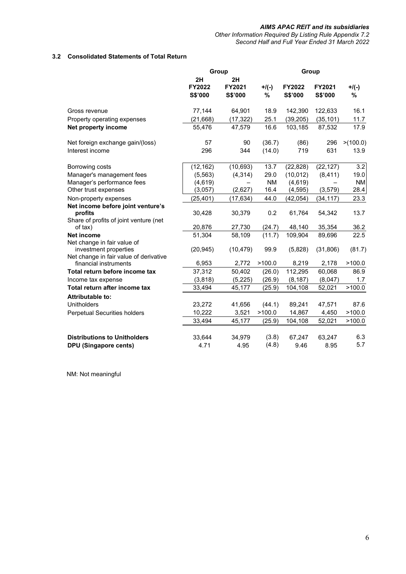*Other Information Required By Listing Rule Appendix 7.2 Second Half and Full Year Ended 31 March 2022*

## **3.2 Consolidated Statements of Total Return**

|                                                                 | Group     |           | Group     |           |           |           |  |
|-----------------------------------------------------------------|-----------|-----------|-----------|-----------|-----------|-----------|--|
|                                                                 | 2H        | 2H        |           |           |           |           |  |
|                                                                 | FY2022    | FY2021    | $+$ /(-)  | FY2022    | FY2021    | $+$ /(-)  |  |
|                                                                 | S\$'000   | S\$'000   | %         | S\$'000   | S\$'000   | %         |  |
| Gross revenue                                                   | 77,144    | 64,901    | 18.9      | 142,390   | 122,633   | 16.1      |  |
| Property operating expenses                                     | (21, 668) | (17, 322) | 25.1      | (39, 205) | (35, 101) | 11.7      |  |
| <b>Net property income</b>                                      | 55,476    | 47,579    | 16.6      | 103,185   | 87,532    | 17.9      |  |
| Net foreign exchange gain/(loss)                                | 57        | 90        | (36.7)    | (86)      | 296       | >(100.0)  |  |
| Interest income                                                 | 296       | 344       | (14.0)    | 719       | 631       | 13.9      |  |
| Borrowing costs                                                 | (12, 162) | (10, 693) | 13.7      | (22, 828) | (22, 127) | 3.2       |  |
| Manager's management fees                                       | (5, 563)  | (4, 314)  | 29.0      | (10, 012) | (8, 411)  | 19.0      |  |
| Manager's performance fees                                      | (4,619)   |           | <b>NM</b> | (4,619)   |           | <b>NM</b> |  |
| Other trust expenses                                            | (3,057)   | (2,627)   | 16.4      | (4, 595)  | (3, 579)  | 28.4      |  |
| Non-property expenses                                           | (25, 401) | (17, 634) | 44.0      | (42, 054) | (34, 117) | 23.3      |  |
| Net income before joint venture's                               |           |           |           |           |           |           |  |
| profits                                                         | 30,428    | 30,379    | 0.2       | 61,764    | 54,342    | 13.7      |  |
| Share of profits of joint venture (net<br>of tax)               | 20,876    | 27,730    | (24.7)    | 48,140    | 35,354    | 36.2      |  |
| <b>Net income</b>                                               | 51,304    | 58,109    | (11.7)    | 109,904   | 89,696    | 22.5      |  |
| Net change in fair value of<br>investment properties            | (20, 945) | (10, 479) | 99.9      | (5,828)   | (31, 806) | (81.7)    |  |
| Net change in fair value of derivative<br>financial instruments | 6,953     | 2,772     | >100.0    | 8,219     | 2,178     | >100.0    |  |
| Total return before income tax                                  | 37,312    | 50,402    | (26.0)    | 112,295   | 60,068    | 86.9      |  |
| Income tax expense                                              | (3,818)   | (5, 225)  | (26.9)    | (8, 187)  | (8,047)   | 1.7       |  |
| Total return after income tax                                   | 33,494    | 45,177    | (25.9)    | 104,108   | 52,021    | >100.0    |  |
| <b>Attributable to:</b>                                         |           |           |           |           |           |           |  |
| <b>Unitholders</b>                                              | 23,272    | 41,656    | (44.1)    | 89,241    | 47,571    | 87.6      |  |
| Perpetual Securities holders                                    | 10,222    | 3,521     | >100.0    | 14,867    | 4,450     | >100.0    |  |
|                                                                 | 33,494    | 45,177    | (25.9)    | 104,108   | 52,021    | >100.0    |  |
| <b>Distributions to Unitholders</b>                             | 33,644    | 34,979    | (3.8)     | 67,247    | 63,247    | 6.3       |  |
| <b>DPU (Singapore cents)</b>                                    | 4.71      | 4.95      | (4.8)     | 9.46      | 8.95      | 5.7       |  |

NM: Not meaningful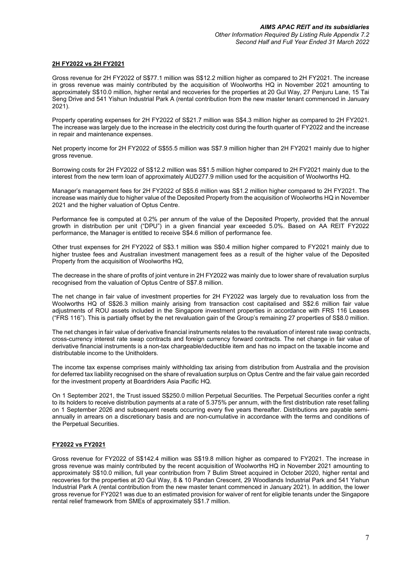#### **2H FY2022 vs 2H FY2021**

Gross revenue for 2H FY2022 of S\$77.1 million was S\$12.2 million higher as compared to 2H FY2021. The increase in gross revenue was mainly contributed by the acquisition of Woolworths HQ in November 2021 amounting to approximately S\$10.0 million, higher rental and recoveries for the properties at 20 Gul Way, 27 Penjuru Lane, 15 Tai Seng Drive and 541 Yishun Industrial Park A (rental contribution from the new master tenant commenced in January 2021).

Property operating expenses for 2H FY2022 of S\$21.7 million was S\$4.3 million higher as compared to 2H FY2021. The increase was largely due to the increase in the electricity cost during the fourth quarter of FY2022 and the increase in repair and maintenance expenses.

Net property income for 2H FY2022 of S\$55.5 million was S\$7.9 million higher than 2H FY2021 mainly due to higher gross revenue.

Borrowing costs for 2H FY2022 of S\$12.2 million was S\$1.5 million higher compared to 2H FY2021 mainly due to the interest from the new term loan of approximately AUD277.9 million used for the acquisition of Woolworths HQ.

Manager's management fees for 2H FY2022 of S\$5.6 million was S\$1.2 million higher compared to 2H FY2021. The increase was mainly due to higher value of the Deposited Property from the acquisition of Woolworths HQ in November 2021 and the higher valuation of Optus Centre.

Performance fee is computed at 0.2% per annum of the value of the Deposited Property, provided that the annual growth in distribution per unit ("DPU") in a given financial year exceeded 5.0%. Based on AA REIT FY2022 performance, the Manager is entitled to receive S\$4.6 million of performance fee.

Other trust expenses for 2H FY2022 of S\$3.1 million was S\$0.4 million higher compared to FY2021 mainly due to higher trustee fees and Australian investment management fees as a result of the higher value of the Deposited Property from the acquisition of Woolworths HQ,

The decrease in the share of profits of joint venture in 2H FY2022 was mainly due to lower share of revaluation surplus recognised from the valuation of Optus Centre of S\$7.8 million.

The net change in fair value of investment properties for 2H FY2022 was largely due to revaluation loss from the Woolworths HQ of S\$26.3 million mainly arising from transaction cost capitalised and S\$2.6 million fair value adjustments of ROU assets included in the Singapore investment properties in accordance with FRS 116 Leases ("FRS 116"). This is partially offset by the net revaluation gain of the Group's remaining 27 properties of S\$8.0 million.

The net changes in fair value of derivative financial instruments relates to the revaluation of interest rate swap contracts, cross-currency interest rate swap contracts and foreign currency forward contracts. The net change in fair value of derivative financial instruments is a non-tax chargeable/deductible item and has no impact on the taxable income and distributable income to the Unitholders.

The income tax expense comprises mainly withholding tax arising from distribution from Australia and the provision for deferred tax liability recognised on the share of revaluation surplus on Optus Centre and the fair value gain recorded for the investment property at Boardriders Asia Pacific HQ.

On 1 September 2021, the Trust issued S\$250.0 million Perpetual Securities. The Perpetual Securities confer a right to its holders to receive distribution payments at a rate of 5.375% per annum, with the first distribution rate reset falling on 1 September 2026 and subsequent resets occurring every five years thereafter. Distributions are payable semiannually in arrears on a discretionary basis and are non-cumulative in accordance with the terms and conditions of the Perpetual Securities.

#### **FY2022 vs FY2021**

Gross revenue for FY2022 of S\$142.4 million was S\$19.8 million higher as compared to FY2021. The increase in gross revenue was mainly contributed by the recent acquisition of Woolworths HQ in November 2021 amounting to approximately S\$10.0 million, full year contribution from 7 Bulim Street acquired in October 2020, higher rental and recoveries for the properties at 20 Gul Way, 8 & 10 Pandan Crescent, 29 Woodlands Industrial Park and 541 Yishun Industrial Park A (rental contribution from the new master tenant commenced in January 2021). In addition, the lower gross revenue for FY2021 was due to an estimated provision for waiver of rent for eligible tenants under the Singapore rental relief framework from SMEs of approximately S\$1.7 million.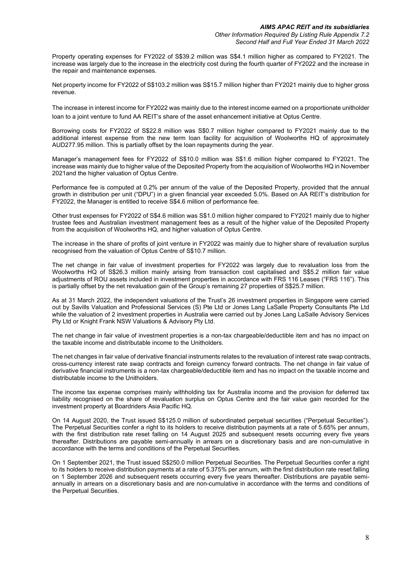### *Other Information Required By Listing Rule Appendix 7.2 Second Half and Full Year Ended 31 March 2022*

Property operating expenses for FY2022 of S\$39.2 million was S\$4.1 million higher as compared to FY2021. The increase was largely due to the increase in the electricity cost during the fourth quarter of FY2022 and the increase in the repair and maintenance expenses.

Net property income for FY2022 of S\$103.2 million was S\$15.7 million higher than FY2021 mainly due to higher gross revenue.

The increase in interest income for FY2022 was mainly due to the interest income earned on a proportionate unitholder loan to a joint venture to fund AA REIT's share of the asset enhancement initiative at Optus Centre.

Borrowing costs for FY2022 of S\$22.8 million was S\$0.7 million higher compared to FY2021 mainly due to the additional interest expense from the new term loan facility for acquisition of Woolworths HQ of approximately AUD277.95 million. This is partially offset by the loan repayments during the year.

Manager's management fees for FY2022 of S\$10.0 million was S\$1.6 million higher compared to FY2021. The increase was mainly due to higher value of the Deposited Property from the acquisition of Woolworths HQ in November 2021and the higher valuation of Optus Centre.

Performance fee is computed at 0.2% per annum of the value of the Deposited Property, provided that the annual growth in distribution per unit ("DPU") in a given financial year exceeded 5.0%. Based on AA REIT's distribution for FY2022, the Manager is entitled to receive S\$4.6 million of performance fee.

Other trust expenses for FY2022 of S\$4.6 million was S\$1.0 million higher compared to FY2021 mainly due to higher trustee fees and Australian investment management fees as a result of the higher value of the Deposited Property from the acquisition of Woolworths HQ, and higher valuation of Optus Centre.

The increase in the share of profits of joint venture in FY2022 was mainly due to higher share of revaluation surplus recognised from the valuation of Optus Centre of S\$10.7 million.

The net change in fair value of investment properties for FY2022 was largely due to revaluation loss from the Woolworths HQ of S\$26.3 million mainly arising from transaction cost capitalised and S\$5.2 million fair value adjustments of ROU assets included in investment properties in accordance with FRS 116 Leases ("FRS 116"). This is partially offset by the net revaluation gain of the Group's remaining 27 properties of S\$25.7 million.

As at 31 March 2022, the independent valuations of the Trust's 26 investment properties in Singapore were carried out by Savills Valuation and Professional Services (S) Pte Ltd or Jones Lang LaSalle Property Consultants Pte Ltd while the valuation of 2 investment properties in Australia were carried out by Jones Lang LaSalle Advisory Services Pty Ltd or Knight Frank NSW Valuations & Advisory Pty Ltd.

The net change in fair value of investment properties is a non-tax chargeable/deductible item and has no impact on the taxable income and distributable income to the Unitholders.

The net changes in fair value of derivative financial instruments relates to the revaluation of interest rate swap contracts, cross-currency interest rate swap contracts and foreign currency forward contracts. The net change in fair value of derivative financial instruments is a non-tax chargeable/deductible item and has no impact on the taxable income and distributable income to the Unitholders.

The income tax expense comprises mainly withholding tax for Australia income and the provision for deferred tax liability recognised on the share of revaluation surplus on Optus Centre and the fair value gain recorded for the investment property at Boardriders Asia Pacific HQ.

On 14 August 2020, the Trust issued S\$125.0 million of subordinated perpetual securities ("Perpetual Securities"). The Perpetual Securities confer a right to its holders to receive distribution payments at a rate of 5.65% per annum, with the first distribution rate reset falling on 14 August 2025 and subsequent resets occurring every five years thereafter. Distributions are payable semi-annually in arrears on a discretionary basis and are non-cumulative in accordance with the terms and conditions of the Perpetual Securities.

On 1 September 2021, the Trust issued S\$250.0 million Perpetual Securities. The Perpetual Securities confer a right to its holders to receive distribution payments at a rate of 5.375% per annum, with the first distribution rate reset falling on 1 September 2026 and subsequent resets occurring every five years thereafter. Distributions are payable semiannually in arrears on a discretionary basis and are non-cumulative in accordance with the terms and conditions of the Perpetual Securities.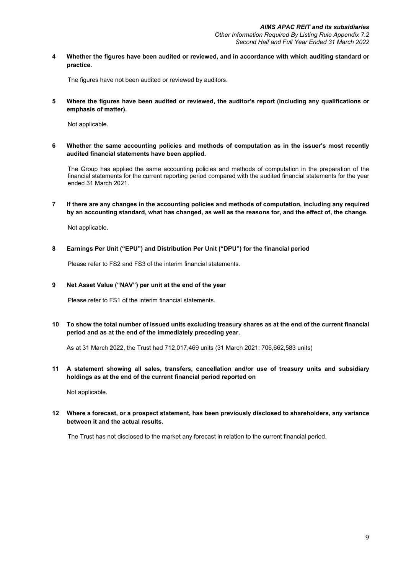**4 Whether the figures have been audited or reviewed, and in accordance with which auditing standard or practice.**

The figures have not been audited or reviewed by auditors.

**5 Where the figures have been audited or reviewed, the auditor's report (including any qualifications or emphasis of matter).**

Not applicable.

**6 Whether the same accounting policies and methods of computation as in the issuer's most recently audited financial statements have been applied.**

The Group has applied the same accounting policies and methods of computation in the preparation of the financial statements for the current reporting period compared with the audited financial statements for the year ended 31 March 2021.

**7 If there are any changes in the accounting policies and methods of computation, including any required by an accounting standard, what has changed, as well as the reasons for, and the effect of, the change.**

Not applicable.

**8 Earnings Per Unit ("EPU") and Distribution Per Unit ("DPU") for the financial period**

Please refer to FS2 and FS3 of the interim financial statements.

#### **9 Net Asset Value ("NAV") per unit at the end of the year**

Please refer to FS1 of the interim financial statements.

**10 To show the total number of issued units excluding treasury shares as at the end of the current financial period and as at the end of the immediately preceding year.**

As at 31 March 2022, the Trust had 712,017,469 units (31 March 2021: 706,662,583 units)

**11 A statement showing all sales, transfers, cancellation and/or use of treasury units and subsidiary holdings as at the end of the current financial period reported on**

Not applicable.

**12 Where a forecast, or a prospect statement, has been previously disclosed to shareholders, any variance between it and the actual results.**

The Trust has not disclosed to the market any forecast in relation to the current financial period.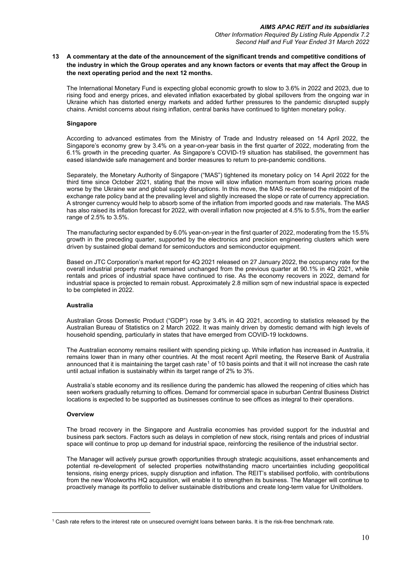## **13 A commentary at the date of the announcement of the significant trends and competitive conditions of the industry in which the Group operates and any known factors or events that may affect the Group in the next operating period and the next 12 months.**

The International Monetary Fund is expecting global economic growth to slow to 3.6% in 2022 and 2023, due to rising food and energy prices, and elevated inflation exacerbated by global spillovers from the ongoing war in Ukraine which has distorted energy markets and added further pressures to the pandemic disrupted supply chains. Amidst concerns about rising inflation, central banks have continued to tighten monetary policy.

#### **Singapore**

According to advanced estimates from the Ministry of Trade and Industry released on 14 April 2022, the Singapore's economy grew by 3.4% on a year-on-year basis in the first quarter of 2022, moderating from the 6.1% growth in the preceding quarter. As Singapore's COVID-19 situation has stabilised, the government has eased islandwide safe management and border measures to return to pre-pandemic conditions.

Separately, the Monetary Authority of Singapore ("MAS") tightened its monetary policy on 14 April 2022 for the third time since October 2021, stating that the move will slow inflation momentum from soaring prices made worse by the Ukraine war and global supply disruptions. In this move, the MAS re-centered the midpoint of the exchange rate policy band at the prevailing level and slightly increased the slope or rate of currency appreciation. A stronger currency would help to absorb some of the inflation from imported goods and raw materials. The MAS has also raised its inflation forecast for 2022, with overall inflation now projected at 4.5% to 5.5%, from the earlier range of 2.5% to 3.5%.

The manufacturing sector expanded by 6.0% year-on-year in the first quarter of 2022, moderating from the 15.5% growth in the preceding quarter, supported by the electronics and precision engineering clusters which were driven by sustained global demand for semiconductors and semiconductor equipment.

Based on JTC Corporation's market report for 4Q 2021 released on 27 January 2022, the occupancy rate for the overall industrial property market remained unchanged from the previous quarter at 90.1% in 4Q 2021, while rentals and prices of industrial space have continued to rise. As the economy recovers in 2022, demand for industrial space is projected to remain robust. Approximately 2.8 million sqm of new industrial space is expected to be completed in 2022.

#### **Australia**

Australian Gross Domestic Product ("GDP") rose by 3.4% in 4Q 2021, according to statistics released by the Australian Bureau of Statistics on 2 March 2022. It was mainly driven by domestic demand with high levels of household spending, particularly in states that have emerged from COVID-19 lockdowns.

The Australian economy remains resilient with spending picking up. While inflation has increased in Australia, it remains lower than in many other countries. At the most recent April meeting, the Reserve Bank of Australia announced that it is maintaining the target cash rate<sup>[1](#page-34-0)</sup> of 10 basis points and that it will not increase the cash rate until actual inflation is sustainably within its target range of 2% to 3%.

Australia's stable economy and its resilience during the pandemic has allowed the reopening of cities which has seen workers gradually returning to offices. Demand for commercial space in suburban Central Business District locations is expected to be supported as businesses continue to see offices as integral to their operations.

#### **Overview**

The broad recovery in the Singapore and Australia economies has provided support for the industrial and business park sectors. Factors such as delays in completion of new stock, rising rentals and prices of industrial space will continue to prop up demand for industrial space, reinforcing the resilience of the industrial sector.

The Manager will actively pursue growth opportunities through strategic acquisitions, asset enhancements and potential re-development of selected properties notwithstanding macro uncertainties including geopolitical tensions, rising energy prices, supply disruption and inflation. The REIT's stabilised portfolio, with contributions from the new Woolworths HQ acquisition, will enable it to strengthen its business. The Manager will continue to proactively manage its portfolio to deliver sustainable distributions and create long-term value for Unitholders.

<span id="page-34-0"></span><sup>1</sup> Cash rate refers to the interest rate on unsecured overnight loans between banks. It is the risk-free benchmark rate.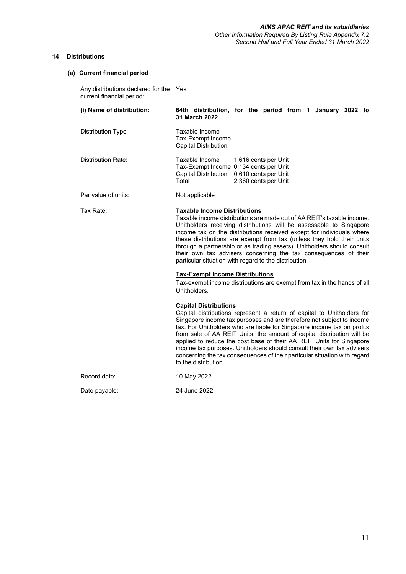## **14 Distributions**

#### **(a) Current financial period**

Any distributions declared for the Yes current financial period:

# **(i) Name of distribution: 64th distribution, for the period from 1 January 2022 to 31 March 2022** Distribution Type Taxable Income

Tax-Exempt Income Capital Distribution Distribution Rate: Taxable Income 1.616 cents per Unit Tax-Exempt Income 0.134 cents per Unit Capital Distribution 0.610 cents per Unit<br>Total 2.360 cents per Unit 2.360 cents per Unit

Par value of units: Not applicable

## Tax Rate: **Taxable Income Distributions**

Taxable income distributions are made out of AA REIT's taxable income. Unitholders receiving distributions will be assessable to Singapore income tax on the distributions received except for individuals where these distributions are exempt from tax (unless they hold their units through a partnership or as trading assets). Unitholders should consult their own tax advisers concerning the tax consequences of their particular situation with regard to the distribution.

#### **Tax-Exempt Income Distributions**

Tax-exempt income distributions are exempt from tax in the hands of all Unitholders.

#### **Capital Distributions**

Capital distributions represent a return of capital to Unitholders for Singapore income tax purposes and are therefore not subject to income tax. For Unitholders who are liable for Singapore income tax on profits from sale of AA REIT Units, the amount of capital distribution will be applied to reduce the cost base of their AA REIT Units for Singapore income tax purposes. Unitholders should consult their own tax advisers concerning the tax consequences of their particular situation with regard to the distribution.

| Record date: | 10 May 2022 |
|--------------|-------------|
|              |             |

Date payable: 24 June 2022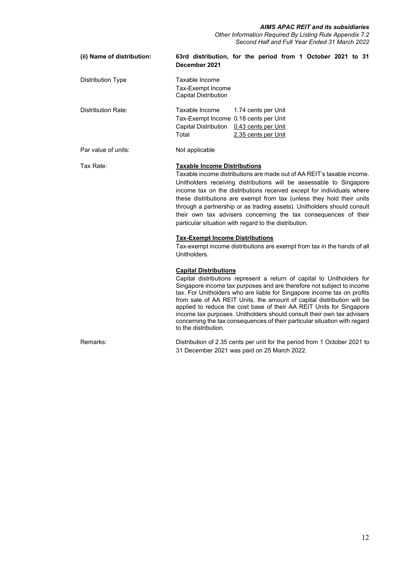## *AIMS APAC REIT and its subsidiaries*

*Other Information Required By Listing Rule Appendix 7.2 Second Half and Full Year Ended 31 March 2022*

| (ii) Name of distribution: | 63rd distribution, for the period from 1 October 2021 to 31<br>December 2021                                                                                                                                                                                                                                                                                                                                                                                                                                                                                                                                                                                                       |
|----------------------------|------------------------------------------------------------------------------------------------------------------------------------------------------------------------------------------------------------------------------------------------------------------------------------------------------------------------------------------------------------------------------------------------------------------------------------------------------------------------------------------------------------------------------------------------------------------------------------------------------------------------------------------------------------------------------------|
| <b>Distribution Type</b>   | Taxable Income<br>Tax-Exempt Income<br><b>Capital Distribution</b>                                                                                                                                                                                                                                                                                                                                                                                                                                                                                                                                                                                                                 |
| <b>Distribution Rate:</b>  | Taxable Income<br>1.74 cents per Unit<br>Tax-Exempt Income 0.18 cents per Unit<br>Capital Distribution 0.43 cents per Unit<br>Total<br>2.35 cents per Unit                                                                                                                                                                                                                                                                                                                                                                                                                                                                                                                         |
| Par value of units:        | Not applicable                                                                                                                                                                                                                                                                                                                                                                                                                                                                                                                                                                                                                                                                     |
| Tax Rate:                  | <b>Taxable Income Distributions</b><br>Taxable income distributions are made out of AA REIT's taxable income.<br>Unitholders receiving distributions will be assessable to Singapore<br>income tax on the distributions received except for individuals where<br>these distributions are exempt from tax (unless they hold their units<br>through a partnership or as trading assets). Unitholders should consult<br>their own tax advisers concerning the tax consequences of their<br>particular situation with regard to the distribution.<br><b>Tax-Exempt Income Distributions</b><br>Tax-exempt income distributions are exempt from tax in the hands of all<br>Unitholders. |
|                            | <b>Capital Distributions</b><br>Capital distributions represent a return of capital to Unitholders for<br>Singapore income tax purposes and are therefore not subject to income<br>tax. For Unitholders who are liable for Singapore income tax on profits<br>from sale of AA REIT Units, the amount of capital distribution will be<br>applied to reduce the cost base of their AA REIT Units for Singapore<br>income tax purposes. Unitholders should consult their own tax advisers<br>concerning the tax consequences of their particular situation with regard<br>to the distribution.                                                                                        |
| Remarks:                   | Distribution of 2.35 cents per unit for the period from 1 October 2021 to<br>31 December 2021 was paid on 25 March 2022.                                                                                                                                                                                                                                                                                                                                                                                                                                                                                                                                                           |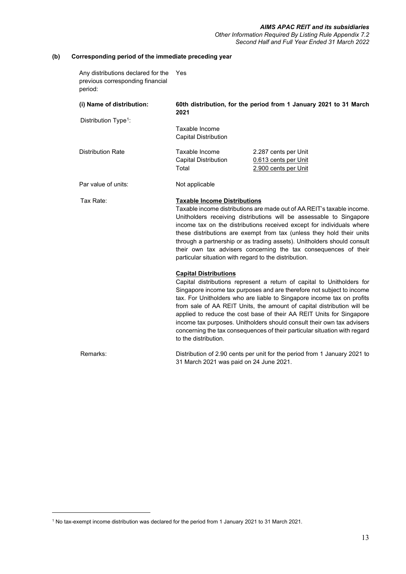## *AIMS APAC REIT and its subsidiaries*

*Other Information Required By Listing Rule Appendix 7.2 Second Half and Full Year Ended 31 March 2022*

# **(b) Corresponding period of the immediate preceding year**

Any distributions declared for the Yes previous corresponding financial period:

| (i) Name of distribution:        | 60th distribution, for the period from 1 January 2021 to 31 March<br>2021                    |                                                                                                                                                                                                                                                                                                                                                                                                                                                                                                                                    |  |  |
|----------------------------------|----------------------------------------------------------------------------------------------|------------------------------------------------------------------------------------------------------------------------------------------------------------------------------------------------------------------------------------------------------------------------------------------------------------------------------------------------------------------------------------------------------------------------------------------------------------------------------------------------------------------------------------|--|--|
| Distribution Type <sup>1</sup> : | Taxable Income<br><b>Capital Distribution</b>                                                |                                                                                                                                                                                                                                                                                                                                                                                                                                                                                                                                    |  |  |
| <b>Distribution Rate</b>         | Taxable Income<br><b>Capital Distribution</b><br>Total                                       | 2.287 cents per Unit<br>0.613 cents per Unit<br>2.900 cents per Unit                                                                                                                                                                                                                                                                                                                                                                                                                                                               |  |  |
| Par value of units:              | Not applicable                                                                               |                                                                                                                                                                                                                                                                                                                                                                                                                                                                                                                                    |  |  |
| Tax Rate:                        | <b>Taxable Income Distributions</b><br>particular situation with regard to the distribution. | Taxable income distributions are made out of AA REIT's taxable income.<br>Unitholders receiving distributions will be assessable to Singapore<br>income tax on the distributions received except for individuals where<br>these distributions are exempt from tax (unless they hold their units<br>through a partnership or as trading assets). Unitholders should consult<br>their own tax advisers concerning the tax consequences of their                                                                                      |  |  |
|                                  | <b>Capital Distributions</b><br>to the distribution.                                         | Capital distributions represent a return of capital to Unitholders for<br>Singapore income tax purposes and are therefore not subject to income<br>tax. For Unitholders who are liable to Singapore income tax on profits<br>from sale of AA REIT Units, the amount of capital distribution will be<br>applied to reduce the cost base of their AA REIT Units for Singapore<br>income tax purposes. Unitholders should consult their own tax advisers<br>concerning the tax consequences of their particular situation with regard |  |  |
| Remarks:                         | 31 March 2021 was paid on 24 June 2021.                                                      | Distribution of 2.90 cents per unit for the period from 1 January 2021 to                                                                                                                                                                                                                                                                                                                                                                                                                                                          |  |  |

<span id="page-37-0"></span><sup>1</sup> No tax-exempt income distribution was declared for the period from 1 January 2021 to 31 March 2021.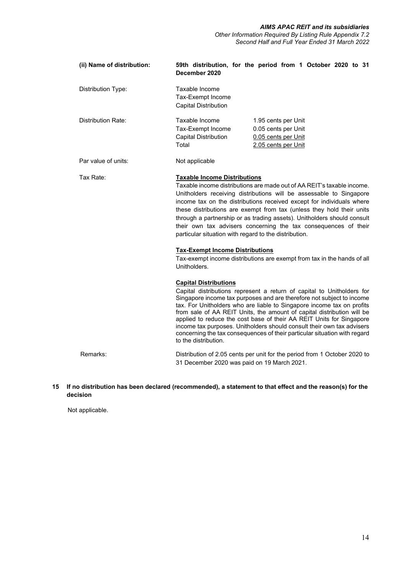| (ii) Name of distribution: | 59th distribution, for the period from 1 October 2020 to 31<br>December 2020                                                                                                                                                                                                                                                                                                                                                                                                                                                                                                               |
|----------------------------|--------------------------------------------------------------------------------------------------------------------------------------------------------------------------------------------------------------------------------------------------------------------------------------------------------------------------------------------------------------------------------------------------------------------------------------------------------------------------------------------------------------------------------------------------------------------------------------------|
| Distribution Type:         | Taxable Income<br>Tax-Exempt Income<br><b>Capital Distribution</b>                                                                                                                                                                                                                                                                                                                                                                                                                                                                                                                         |
| <b>Distribution Rate:</b>  | Taxable Income<br>1.95 cents per Unit<br>Tax-Exempt Income<br>0.05 cents per Unit<br><b>Capital Distribution</b><br>0.05 cents per Unit<br>Total<br>2.05 cents per Unit                                                                                                                                                                                                                                                                                                                                                                                                                    |
| Par value of units:        | Not applicable                                                                                                                                                                                                                                                                                                                                                                                                                                                                                                                                                                             |
| Tax Rate:                  | <b>Taxable Income Distributions</b><br>Taxable income distributions are made out of AA REIT's taxable income.<br>Unitholders receiving distributions will be assessable to Singapore<br>income tax on the distributions received except for individuals where<br>these distributions are exempt from tax (unless they hold their units<br>through a partnership or as trading assets). Unitholders should consult<br>their own tax advisers concerning the tax consequences of their<br>particular situation with regard to the distribution.                                              |
|                            | <b>Tax-Exempt Income Distributions</b><br>Tax-exempt income distributions are exempt from tax in the hands of all<br>Unitholders.                                                                                                                                                                                                                                                                                                                                                                                                                                                          |
|                            | <b>Capital Distributions</b><br>Capital distributions represent a return of capital to Unitholders for<br>Singapore income tax purposes and are therefore not subject to income<br>tax. For Unitholders who are liable to Singapore income tax on profits<br>from sale of AA REIT Units, the amount of capital distribution will be<br>applied to reduce the cost base of their AA REIT Units for Singapore<br>income tax purposes. Unitholders should consult their own tax advisers<br>concerning the tax consequences of their particular situation with regard<br>to the distribution. |
| Remarks:                   | Distribution of 2.05 cents per unit for the period from 1 October 2020 to<br>31 December 2020 was paid on 19 March 2021.                                                                                                                                                                                                                                                                                                                                                                                                                                                                   |

**15 If no distribution has been declared (recommended), a statement to that effect and the reason(s) for the decision**

Not applicable.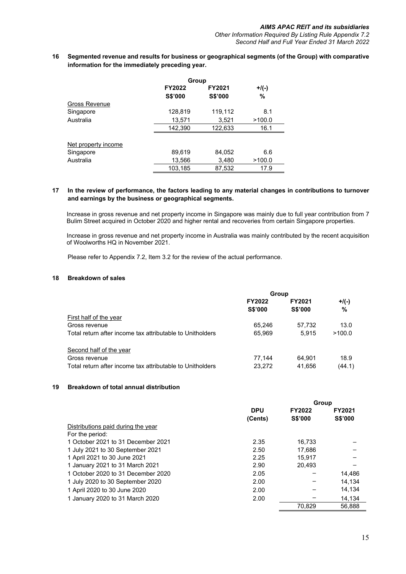## **16 Segmented revenue and results for business or geographical segments (of the Group) with comparative information for the immediately preceding year.**

|                      |         | Group          |         |  |
|----------------------|---------|----------------|---------|--|
|                      | FY2022  | FY2021         | $+/(-)$ |  |
|                      | S\$'000 | <b>S\$'000</b> | %       |  |
| <b>Gross Revenue</b> |         |                |         |  |
| Singapore            | 128,819 | 119,112        | 8.1     |  |
| Australia            | 13,571  | 3,521          | >100.0  |  |
|                      | 142,390 | 122,633        | 16.1    |  |
| Net property income  |         |                |         |  |
| Singapore            | 89,619  | 84,052         | 6.6     |  |
| Australia            | 13,566  | 3,480          | >100.0  |  |
|                      | 103,185 | 87.532         | 17.9    |  |

### **17 In the review of performance, the factors leading to any material changes in contributions to turnover and earnings by the business or geographical segments.**

Increase in gross revenue and net property income in Singapore was mainly due to full year contribution from 7 Bulim Street acquired in October 2020 and higher rental and recoveries from certain Singapore properties.

Increase in gross revenue and net property income in Australia was mainly contributed by the recent acquisition of Woolworths HQ in November 2021.

Please refer to Appendix 7.2, Item 3.2 for the review of the actual performance.

### **18 Breakdown of sales**

|                                                           | Group          |                |         |
|-----------------------------------------------------------|----------------|----------------|---------|
|                                                           | FY2022         | FY2021         | $+/(-)$ |
|                                                           | <b>S\$'000</b> | <b>S\$'000</b> | %       |
| First half of the year                                    |                |                |         |
| Gross revenue                                             | 65,246         | 57,732         | 13.0    |
| Total return after income tax attributable to Unitholders | 65.969         | 5.915          | >100.0  |
| Second half of the year                                   |                |                |         |
| Gross revenue                                             | 77.144         | 64.901         | 18.9    |
| Total return after income tax attributable to Unitholders | 23.272         | 41,656         | (44.1)  |

## **19 Breakdown of total annual distribution**

|                                    |            |                | Group          |  |
|------------------------------------|------------|----------------|----------------|--|
|                                    | <b>DPU</b> | <b>FY2022</b>  | <b>FY2021</b>  |  |
|                                    | (Cents)    | <b>S\$'000</b> | <b>S\$'000</b> |  |
| Distributions paid during the year |            |                |                |  |
| For the period:                    |            |                |                |  |
| 1 October 2021 to 31 December 2021 | 2.35       | 16.733         |                |  |
| 1 July 2021 to 30 September 2021   | 2.50       | 17.686         |                |  |
| 1 April 2021 to 30 June 2021       | 2.25       | 15.917         |                |  |
| 1 January 2021 to 31 March 2021    | 2.90       | 20.493         |                |  |
| 1 October 2020 to 31 December 2020 | 2.05       |                | 14.486         |  |
| 1 July 2020 to 30 September 2020   | 2.00       |                | 14.134         |  |
| 1 April 2020 to 30 June 2020       | 2.00       |                | 14.134         |  |
| 1 January 2020 to 31 March 2020    | 2.00       |                | 14.134         |  |
|                                    |            | 70.829         | 56.888         |  |